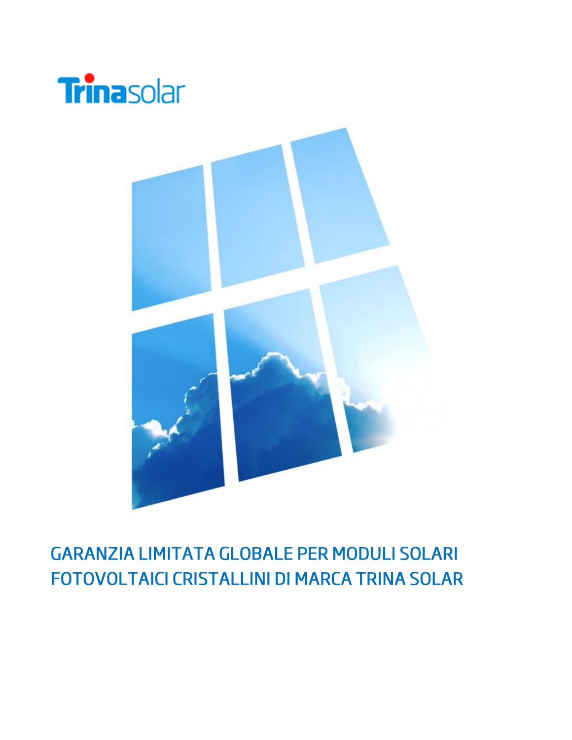



# **GARANZIA LIMITATA GLOBALE PER MODULI SOLARI** FOTOVOLTAICI CRISTALLINI DI MARCA TRINA SOLAR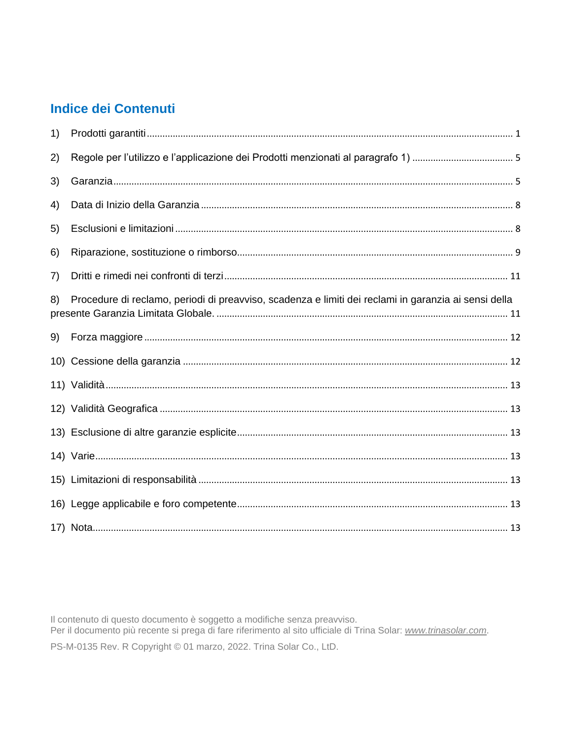# **Indice dei Contenuti**

| 1) |                                                                                                      |  |
|----|------------------------------------------------------------------------------------------------------|--|
| 2) |                                                                                                      |  |
| 3) |                                                                                                      |  |
| 4) |                                                                                                      |  |
| 5) |                                                                                                      |  |
| 6) |                                                                                                      |  |
| 7) |                                                                                                      |  |
| 8) | Procedure di reclamo, periodi di preavviso, scadenza e limiti dei reclami in garanzia ai sensi della |  |
| 9) |                                                                                                      |  |
|    |                                                                                                      |  |
|    |                                                                                                      |  |
|    |                                                                                                      |  |
|    |                                                                                                      |  |
|    |                                                                                                      |  |
|    |                                                                                                      |  |
|    |                                                                                                      |  |
|    |                                                                                                      |  |

Il contenuto di questo documento è soggetto a modifiche senza preavviso.<br>Per il documento più recente si prega di fare riferimento al sito ufficiale di Trina Solar: www.trinasolar.com. PS-M-0135 Rev. R Copyright © 01 marzo, 2022. Trina Solar Co., LtD.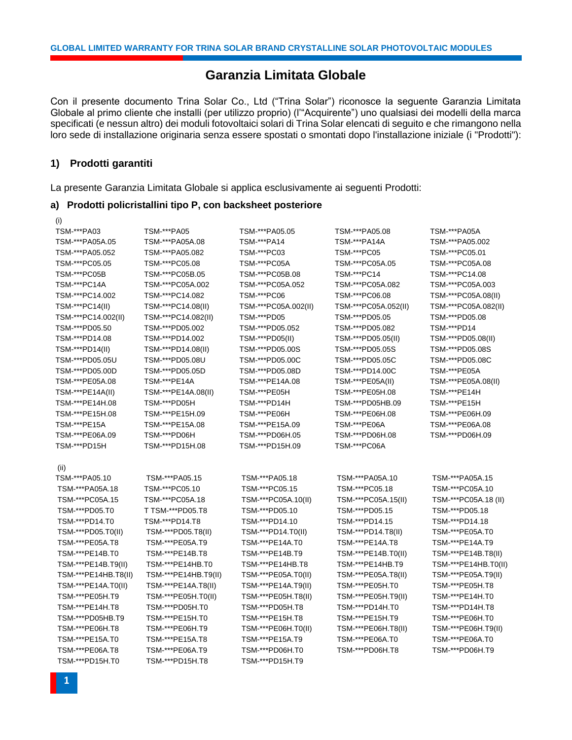# **Garanzia Limitata Globale**

Con il presente documento Trina Solar Co., Ltd ("Trina Solar") riconosce la seguente Garanzia Limitata Globale al primo cliente che installi (per utilizzo proprio) (l'"Acquirente") uno qualsiasi dei modelli della marca specificati (e nessun altro) dei moduli fotovoltaici solari di Trina Solar elencati di seguito e che rimangono nella loro sede di installazione originaria senza essere spostati o smontati dopo l'installazione iniziale (i "Prodotti"):

#### <span id="page-3-0"></span>**1) Prodotti garantiti**

(i)

La presente Garanzia Limitata Globale si applica esclusivamente ai seguenti Prodotti:

#### **a) Prodotti policristallini tipo P, con backsheet posteriore**

| TSM-***PA03          | TSM-***PA05          | TSM-***PA05.05       | TSM-***PA05.08       | TSM-***PA05A         |
|----------------------|----------------------|----------------------|----------------------|----------------------|
| TSM-***PA05A.05      | TSM-***PA05A.08      | TSM-***PA14          | TSM-***PA14A         | TSM-***PA05.002      |
| TSM-***PA05.052      | TSM-***PA05.082      | TSM-***PC03          | TSM-***PC05          | TSM-***PC05.01       |
| TSM-***PC05.05       | TSM-***PC05.08       | TSM-***PC05A         | TSM-***PC05A.05      | TSM-***PC05A.08      |
| TSM-***PC05B         | TSM-***PC05B.05      | TSM-***PC05B.08      | TSM-***PC14          | TSM-***PC14.08       |
| TSM-***PC14A         | TSM-***PC05A.002     | TSM-***PC05A.052     | TSM-***PC05A.082     | TSM-***PC05A.003     |
| TSM-***PC14.002      | TSM-***PC14.082      | TSM-***PC06          | TSM-***PC06.08       | TSM-***PC05A.08(II)  |
| TSM-***PC14(II)      | TSM-***PC14.08(II)   | TSM-***PC05A.002(II) | TSM-***PC05A.052(II) | TSM-***PC05A.082(II) |
| TSM-***PC14.002(II)  | TSM-***PC14.082(II)  | TSM-***PD05          | TSM-***PD05.05       | TSM-***PD05.08       |
| TSM-***PD05.50       | TSM-***PD05.002      | TSM-***PD05.052      | TSM-***PD05.082      | TSM-***PD14          |
| TSM-***PD14.08       | TSM-***PD14.002      | TSM-***PD05(II)      | TSM-***PD05.05(II)   | TSM-***PD05.08(II)   |
| TSM-***PD14(II)      | TSM-***PD14.08(II)   | TSM-***PD05.00S      | TSM-***PD05.05S      | TSM-***PD05.08S      |
| TSM-***PD05.05U      | TSM-***PD05.08U      | TSM-***PD05.00C      | TSM-***PD05.05C      | TSM-***PD05.08C      |
| TSM-***PD05.00D      | TSM-***PD05.05D      | TSM-***PD05.08D      | TSM-***PD14.00C      | TSM-***PE05A         |
| TSM-***PE05A.08      | TSM-***PE14A         | TSM-***PE14A.08      | TSM-***PE05A(II)     | TSM-***PE05A.08(II)  |
| TSM-***PE14A(II)     | TSM-***PE14A.08(II)  | TSM-***PE05H         | TSM-***PE05H.08      | TSM-***PE14H         |
| TSM-***PE14H.08      | TSM-***PD05H         | TSM-***PD14H         | TSM-***PD05HB.09     | TSM-***PE15H         |
| TSM-***PE15H.08      | TSM-***PE15H.09      | TSM-***PE06H         | TSM-***PE06H.08      | TSM-***PE06H.09      |
| TSM-***PE15A         | TSM-***PE15A.08      | TSM-***PE15A.09      | TSM-***PE06A         | TSM-***PE06A.08      |
| TSM-***PE06A.09      | TSM-***PD06H         | TSM-***PD06H.05      | TSM-***PD06H.08      | TSM-***PD06H.09      |
| TSM-***PD15H         | TSM-***PD15H.08      | TSM-***PD15H.09      | TSM-***PC06A         |                      |
|                      |                      |                      |                      |                      |
| (ii)                 |                      |                      |                      |                      |
| TSM-***PA05.10       | TSM-***PA05.15       | TSM-***PA05.18       | TSM-***PA05A.10      | TSM-***PA05A.15      |
| TSM-***PA05A.18      | TSM-***PC05.10       | TSM-***PC05.15       | TSM-***PC05.18       | TSM-***PC05A.10      |
| TSM-***PC05A.15      | TSM-***PC05A.18      | TSM-***PC05A.10(II)  | TSM-***PC05A.15(II)  | TSM-***PC05A.18 (II) |
| TSM-***PD05.T0       | T TSM-***PD05.T8     | TSM-***PD05.10       | TSM-***PD05.15       | TSM-***PD05.18       |
| TSM-***PD14.T0       | TSM-***PD14.T8       | TSM-***PD14.10       | TSM-***PD14.15       | TSM-***PD14.18       |
| TSM-***PD05.T0(II)   | TSM-***PD05.T8(II)   | TSM-***PD14.T0(II)   | TSM-***PD14.T8(II)   | TSM-***PE05A.T0      |
| TSM-***PE05A.T8      | TSM-***PE05A.T9      | TSM-***PE14A.T0      | TSM-***PE14A.T8      | TSM-***PE14A.T9      |
| TSM-***PE14B.T0      | TSM-***PE14B.T8      | TSM-***PE14B.T9      | TSM-***PE14B.T0(II)  | TSM-***PE14B.T8(II)  |
| TSM-***PE14B.T9(II)  | TSM-***PE14HB.T0     | TSM-***PE14HB.T8     | TSM-***PE14HB.T9     | TSM-***PE14HB.T0(II) |
| TSM-***PE14HB.T8(II) | TSM-***PE14HB.T9(II) | TSM-***PE05A.T0(II)  | TSM-***PE05A.T8(II)  | TSM-***PE05A.T9(II)  |
| TSM-***PE14A.T0(II)  | TSM-***PE14A.T8(II)  | TSM-***PE14A.T9(II)  | TSM-***PE05H.T0      | TSM-***PE05H.T8      |
| TSM-***PE05H.T9      | TSM-***PE05H.T0(II)  | TSM-***PE05H.T8(II)  | TSM-***PE05H.T9(II)  | TSM-***PE14H.T0      |
| TSM-***PE14H.T8      | TSM-***PD05H.T0      | TSM-***PD05H.T8      | TSM-***PD14H.T0      | TSM-***PD14H.T8      |
| TSM-***PD05HB.T9     | TSM-***PE15H.T0      | TSM-***PE15H.T8      | TSM-***PE15H.T9      | TSM-***PE06H.T0      |
| TSM-***PE06H.T8      | TSM-***PE06H.T9      | TSM-***PE06H.T0(II)  | TSM-***PE06H.T8(II)  | TSM-***PE06H.T9(II)  |
| TSM-***PE15A.T0      | TSM-***PE15A.T8      | TSM-***PE15A.T9      | TSM-***PE06A.T0      | TSM-***PE06A.T0      |
| TSM-***PE06A.T8      | TSM-***PE06A.T9      | TSM-***PD06H.T0      | TSM-***PD06H.T8      | TSM-***PD06H.T9      |
| TSM-***PD15H.T0      | TSM-***PD15H.T8      | TSM-***PD15H.T9      |                      |                      |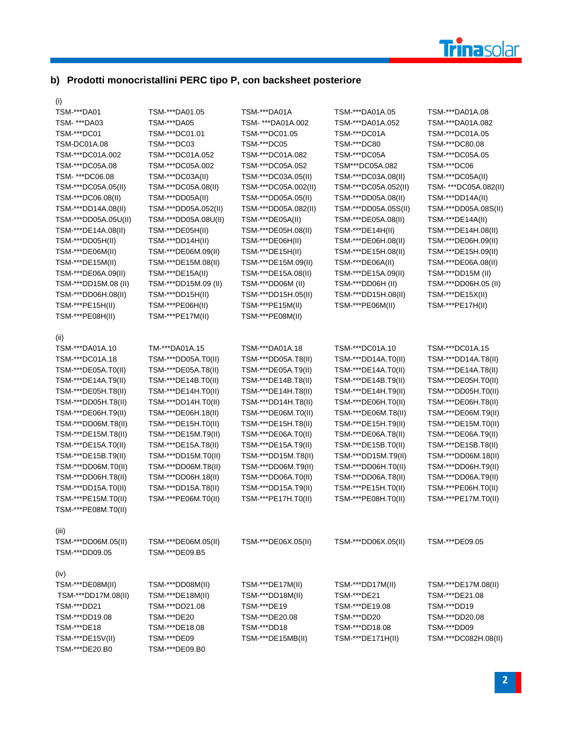

# **b) Prodotti monocristallini PERC tipo P, con backsheet posteriore**

 $\frac{1}{T}$ S

| TSM-***DA01          | TSM-***DA01.05       | TSM-***DA01A         | TSM-***DA01A.05      | TSM-***DA01A.08       |
|----------------------|----------------------|----------------------|----------------------|-----------------------|
| TSM- ***DA03         | TSM-***DA05          | TSM- ***DA01A.002    | TSM-***DA01A.052     | TSM-***DA01A.082      |
| TSM-***DC01          | TSM-***DC01.01       | TSM-***DC01.05       | TSM-***DC01A         | TSM-***DC01A.05       |
| TSM-DC01A.08         | TSM-***DC03          | TSM-***DC05          | TSM-***DC80          | TSM-***DC80.08        |
| TSM-***DC01A.002     | TSM-***DC01A.052     | TSM-***DC01A.082     | TSM-***DC05A         | TSM-***DC05A.05       |
| TSM-***DC05A.08      | TSM-***DC05A.002     | TSM-***DC05A.052     | TSM***DC05A.082      | TSM-***DC06           |
| TSM- ***DC06.08      | TSM-***DC03A(II)     | TSM-***DC03A.05(II)  | TSM-***DC03A.08(II)  | TSM-***DC05A(II)      |
| TSM-***DC05A.05(II)  | TSM-***DC05A.08(II)  | TSM-***DC05A.002(II) | TSM-***DC05A.052(II) | TSM- ***DC05A.082(II) |
| TSM-***DC06.08(II)   | TSM-***DD05A(II)     | TSM-***DD05A.05(II)  | TSM-***DD05A.08(II)  | TSM-***DD14A(II)      |
| TSM-***DD14A.08(II)  | TSM-***DD05A.052(II) | TSM-***DD05A.082(II) | TSM-***DD05A.05S(II) | TSM-***DD05A.08S(II)  |
| TSM-***DD05A.05U(II) | TSM-***DD05A.08U(II) | TSM-***DE05A(II)     | TSM-***DE05A.08(II)  | TSM-***DE14A(II)      |
| TSM-***DE14A.08(II)  | TSM-***DE05H(II)     | TSM-***DE05H.08(II)  | TSM-***DE14H(II)     | TSM-***DE14H.08(II)   |
| TSM-***DD05H(II)     | TSM-***DD14H(II)     | TSM-***DE06H(II)     | TSM-***DE06H.08(II)  | TSM-***DE06H.09(II)   |
| TSM-***DE06M(II)     | TSM-***DE06M.09(II)  | TSM-***DE15H(II)     | TSM-***DE15H.08(II)  | TSM-***DE15H.09(II)   |
| TSM-***DE15M(II)     | TSM-***DE15M.08(II)  | TSM-***DE15M.09(II)  | TSM-***DE06A(II)     | TSM-***DE06A.08(II)   |
| TSM-***DE06A.09(II)  | TSM-***DE15A(II)     | TSM-***DE15A.08(II)  | TSM-***DE15A.09(II)  | TSM-***DD15M (II)     |
| TSM-***DD15M.08 (II) | TSM-***DD15M.09 (II) | TSM-***DD06M (II)    | TSM-***DD06H (II)    | TSM-***DD06H.05 (II)  |
| TSM-***DD06H.08(II)  | TSM-***DD15H(II)     | TSM-***DD15H.05(II)  | TSM-***DD15H.08(II)  | TSM-***DE15X(II)      |
| TSM-***PE15H(II)     | TSM-***PE06H(II)     | TSM-***PE15M(II)     | TSM-***PE06M(II)     | TSM-***PE17H(II)      |
| TSM-***PE08H(II)     | TSM-***PE17M(II)     | TSM-***PE08M(II)     |                      |                       |
|                      |                      |                      |                      |                       |
| (II)                 |                      |                      |                      |                       |
| TSM-***DA01A.10      | TM-***DA01A.15       | TSM-***DA01A.18      | TSM-***DC01A.10      | TSM-***DC01A.15       |
| TSM-***DC01A.18      | TSM-***DD05A.T0(II)  | TSM-***DD05A.T8(II)  | TSM-***DD14A.T0(II)  | TSM-***DD14A.T8(II)   |
| TSM-***DE05A.T0(II)  | TSM-***DE05A.T8(II)  | TSM-***DE05A.T9(II)  | TSM-***DE14A.T0(II)  | TSM-***DE14A.T8(II)   |
| TSM-***DE14A.T9(II)  | TSM-***DE14B.T0(II)  | TSM-***DE14B.T8(II)  | TSM-***DE14B.T9(II)  | TSM-***DE05H.T0(II)   |
| TSM-***DE05H.T8(II)  | TSM-***DE14H.T0(II)  | TSM-***DE14H.T8(II)  | TSM-***DE14H.T9(II)  | TSM-***DD05H.T0(II)   |
| TSM-***DD05H.T8(II)  | TSM-***DD14H.T0(II)  | TSM-***DD14H.T8(II)  | TSM-***DE06H.T0(II)  | TSM-***DE06H.T8(II)   |
| TSM-***DE06H.T9(II)  | TSM-***DE06H.18(II)  | TSM-***DE06M.T0(II)  | TSM-***DE06M.T8(II)  | TSM-***DE06M.T9(II)   |
| TSM-***DD06M.T8(II)  | TSM-***DE15H.T0(II)  | TSM-***DE15H.T8(II)  | TSM-***DE15H.T9(II)  | TSM-***DE15M.T0(II)   |
| TSM-***DE15M.T8(II)  | TSM-***DE15M.T9(II)  | TSM-***DE06A.T0(II)  | TSM-***DE06A.T8(II)  | TSM-***DE06A.T9(II)   |
| TSM-***DE15A.T0(II)  | TSM-***DE15A.T8(II)  | TSM-***DE15A.T9(II)  | TSM-***DE15B.T0(II)  | TSM-***DE15B.T8(II)   |
| TSM-***DE15B.T9(II)  | TSM-***DD15M.T0(II)  | TSM-***DD15M.T8(II)  | TSM-***DD15M.T9(II)  | TSM-***DD06M.18(II)   |
| TSM-***DD06M.T0(II)  | TSM-***DD06M.T8(II)  | TSM-***DD06M.T9(II)  | TSM-***DD06H.T0(II)  | TSM-***DD06H.T9(II)   |
| TSM-***DD06H.T8(II)  | TSM-***DD06H.18(II)  | TSM-***DD06A.T0(II)  | TSM-***DD06A.T8(II)  | TSM-***DD06A.T9(II)   |
| TSM-***DD15A.T0(II)  | TSM-***DD15A.T8(II)  | TSM-***DD15A.T9(II)  | TSM-***PE15H.T0(II)  | TSM-***PE06H.T0(II)   |
| TSM-***PE15M.T0(II)  | TSM-***PE06M.T0(II)  | TSM-***PE17H.T0(II)  | TSM-***PE08H.T0(II)  | TSM-***PE17M.T0(II)   |
| TSM-***PE08M.T0(II)  |                      |                      |                      |                       |
|                      |                      |                      |                      |                       |
| (III)                |                      |                      |                      |                       |
| TSM-***DD06M.05(II)  | TSM-***DE06M.05(II)  | TSM-***DE06X.05(II)  | TSM-***DD06X.05(II)  | TSM-***DE09.05        |
| TSM-***DD09.05       | TSM-***DE09.B5       |                      |                      |                       |
|                      |                      |                      |                      |                       |
| (iv)                 |                      |                      |                      |                       |
| TSM-***DE08M(II)     | TSM-***DD08M(II)     | TSM-***DE17M(II)     | TSM-***DD17M(II)     | TSM-***DE17M.08(II)   |
| TSM-***DD17M.08(II)  | TSM-***DE18M(II)     | TSM-***DD18M(II)     | TSM-***DE21          | TSM-***DE21.08        |
| TSM-***DD21          | TSM-***DD21.08       | TSM-***DE19          | TSM-***DE19.08       | TSM-***DD19           |
| TSM-***DD19.08       | TSM-***DE20          | TSM-***DE20.08       | TSM-***DD20          | TSM-***DD20.08        |
| TSM-***DE18          | TSM-***DE18.08       | TSM-***DD18          | TSM-***DD18.08       | TSM-***DD09           |
| TSM-***DE15V(II)     | TSM-***DE09          | TSM-***DE15MB(II)    | TSM-***DE171H(II)    | TSM-***DC082H.08(II)  |
| TSM-***DE20.B0       | TSM-***DE09.B0       |                      |                      |                       |
|                      |                      |                      |                      |                       |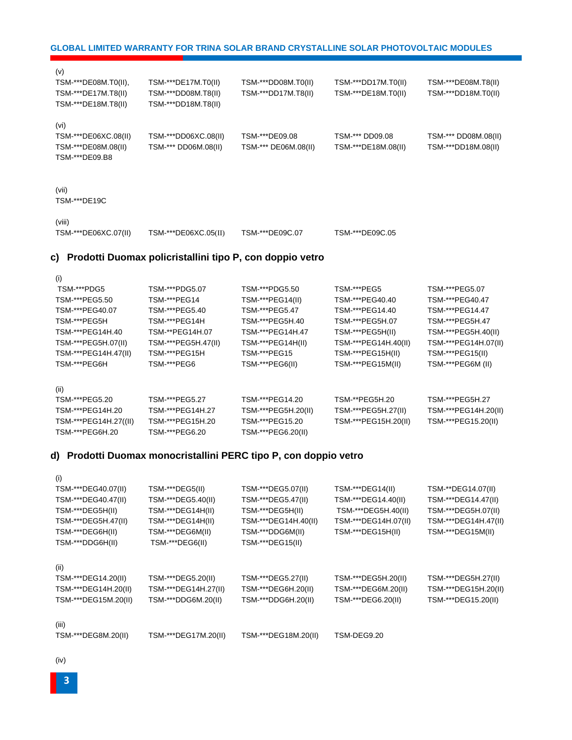(i)

(v)

(i)

**3**

| TSM-***DEG40.47(II)  | TSM-***DEG5.40(II)   | TSM-***DEG5.47(II)   | TSM-***DEG14.40(II)  | TSM-***DEG14.47(II)  |
|----------------------|----------------------|----------------------|----------------------|----------------------|
| TSM-***DEG5H(II)     | TSM-***DEG14H(II)    | TSM-***DEG5H(II)     | TSM-***DEG5H.40(II)  | TSM-***DEG5H.07(II)  |
| TSM-***DEG5H.47(II)  | TSM-***DEG14H(II)    | TSM-***DEG14H.40(II) | TSM-***DEG14H.07(II) | TSM-***DEG14H.47(II) |
| TSM-***DEG6H(II)     | TSM-***DEG6M(II)     | TSM-***DDG6M(II)     | TSM-***DEG15H(II)    | TSM-***DEG15M(II)    |
| TSM-***DDG6H(II)     | TSM-***DEG6(II)      | TSM-***DEG15(II)     |                      |                      |
| (ii)                 |                      |                      |                      |                      |
| TSM-***DEG14.20(II)  | TSM-***DEG5.20(II)   | TSM-***DEG5.27(II)   | TSM-***DEG5H.20(II)  | TSM-***DEG5H.27(II)  |
| TSM-***DEG14H.20(II) | TSM-***DEG14H.27(II) | TSM-***DEG6H.20(II)  | TSM-***DEG6M.20(II)  | TSM-***DEG15H.20(II) |
| TSM-***DEG15M.20(II) | TSM-***DDG6M.20(II)  | TSM-***DDG6H.20(II)  | TSM-***DEG6.20(II)   | TSM-***DEG15.20(II)  |
| (iii)                |                      |                      |                      |                      |
| TSM-***DEG8M.20(II)  | TSM-***DEG17M.20(II) | TSM-***DEG18M.20(II) | TSM-DEG9.20          |                      |

#### **d) Prodotti Duomax monocristallini PERC tipo P, con doppio vetro**

| TSM-***PEG40.07       | TSM-***PEG5.40      | TSM-***PEG5.47      | TSM-***PEG14.40      | TSM-***PEG14.47      |
|-----------------------|---------------------|---------------------|----------------------|----------------------|
| TSM-***PEG5H          | TSM-***PEG14H       | TSM-***PEG5H.40     | TSM-***PEG5H.07      | TSM-***PEG5H.47      |
| TSM-***PEG14H.40      | TSM-**PEG14H.07     | TSM-***PEG14H.47    | TSM-***PEG5H(II)     | TSM-***PEG5H.40(II)  |
| TSM-***PEG5H.07(II)   | TSM-***PEG5H.47(II) | TSM-***PEG14H(II)   | TSM-***PEG14H.40(II) | TSM-***PEG14H.07(II) |
| TSM-***PEG14H.47(II)  | TSM-***PEG15H       | TSM-***PEG15        | TSM-***PEG15H(II)    | TSM-***PEG15(II)     |
| TSM-***PEG6H          | TSM-***PEG6         | TSM-***PEG6(II)     | TSM-***PEG15M(II)    | TSM-***PEG6M (II)    |
| (ii)                  |                     |                     |                      |                      |
| TSM-***PEG5.20        | TSM-***PEG5.27      | TSM-***PEG14.20     | TSM-**PEG5H.20       | TSM-***PEG5H.27      |
|                       |                     |                     |                      |                      |
| TSM-***PEG14H.20      | TSM-***PEG14H.27    | TSM-***PEG5H.20(II) | TSM-***PEG5H.27(II)  | TSM-***PEG14H.20(II) |
| TSM-***PEG14H.27((II) | TSM-***PEG15H.20    | TSM-***PEG15.20     | TSM-***PEG15H.20(II) | TSM-***PEG15.20(II)  |
| TSM-***PEG6H.20       | TSM-***PEG6.20      | TSM-***PEG6.20(II)  |                      |                      |

TSM-\*\*\*DEG40.07(II) TSM-\*\*\*DEG5(II) TSM-\*\*\*DEG5.07(II) TSM-\*\*\*DEG14(II) TSM-\*\*DEG14.07(II)

TSM-\*\*\*PDG5 TSM-\*\*\*PDG5.07 TSM-\*\*\*PDG5.50 TSM-\*\*\*PEG5 TSM-\*\*\*PEG5.07 TSM-\*\*\*PEG5.50 TSM-\*\*\*PEG14 TSM-\*\*\*PEG14(II) TSM-\*\*\*PEG40.40 TSM-\*\*\*PEG40.47

# **c) Prodotti Duomax policristallini tipo P, con doppio vetro**

TSM-\*\*\*DE18M.T8(II) TSM-\*\*\*DD18M.T8(II)

| (vi)<br>TSM-***DE06XC.08(II)<br>TSM-***DE08M.08(II)<br>TSM-***DE09.B8 | TSM-***DD06XC.08(II)<br>TSM-*** DD06M.08(II) | TSM-***DE09.08<br>TSM-*** DE06M.08(II) | TSM-*** DD09.08<br>TSM-***DE18M.08(II) | TSM-*** DD08M.08(II)<br>TSM-***DD18M.08(II) |
|-----------------------------------------------------------------------|----------------------------------------------|----------------------------------------|----------------------------------------|---------------------------------------------|
| (vii)<br>TSM-***DE19C                                                 |                                              |                                        |                                        |                                             |
| (viii)<br>TSM-***DE06XC.07(II)                                        | TSM-***DE06XC.05(II)                         | TSM-***DE09C.07                        | TSM-***DE09C.05                        |                                             |

#### **GLOBAL LIMITED WARRANTY FOR TRINA SOLAR BRAND CRYSTALLINE SOLAR PHOTOVOLTAIC MODULES**

TSM-\*\*\*DE08M.T0(II), TSM-\*\*\*DE17M.T0(II) TSM-\*\*\*DD08M.T0(II) TSM-\*\*\*DD17M.T0(II) TSM-\*\*\*DE08M.T8(II) TSM-\*\*\*DE17M.T8(II) TSM-\*\*\*DD08M.T8(II) TSM-\*\*\*DD17M.T8(II) TSM-\*\*\*DE18M.T0(II) TSM-\*\*\*DD18M.T0(II)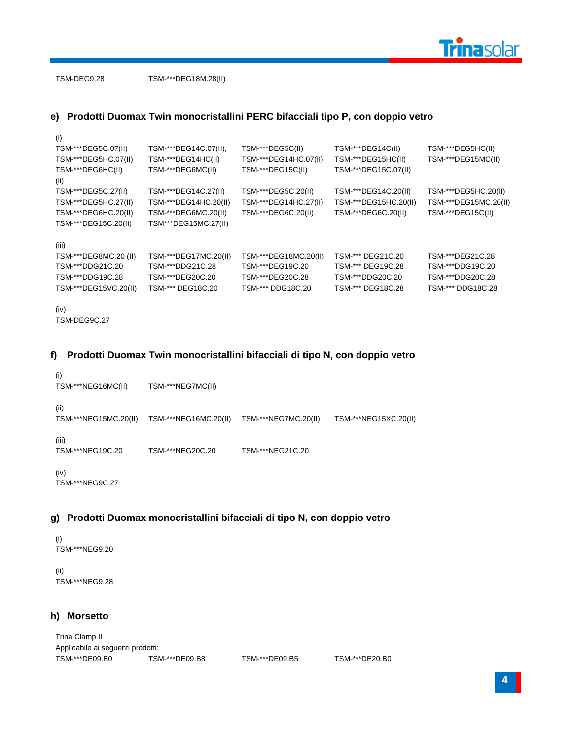

TSM-DEG9.28 TSM-\*\*\*DEG18M.28(II)

# **e) Prodotti Duomax Twin monocristallini PERC bifacciali tipo P, con doppio vetro**

| (i)                                                                                                                      |  |
|--------------------------------------------------------------------------------------------------------------------------|--|
| TSM-***DEG5C.07(II)<br>TSM-***DEG5C(II)<br>TSM-***DEG14C.07(II),<br>TSM-***DEG14C(II)<br>TSM-***DEG5HC(II)               |  |
| TSM-***DEG14HC(II)<br>TSM-***DEG15MC(II)<br>TSM-***DEG5HC.07(II)<br>TSM-***DEG14HC.07(II)<br>TSM-***DEG15HC(II)          |  |
| TSM-***DEG6HC(II)<br>TSM-***DEG6MC(II)<br>TSM-***DEG15C(II)<br>TSM-***DEG15C.07(II)                                      |  |
| (ii)                                                                                                                     |  |
| TSM-***DEG5C.27(II)<br>TSM-***DEG14C.27(II)<br>TSM-***DEG5C.20(II)<br>TSM-***DEG14C.20(II)<br>TSM-***DEG5HC.20(II)       |  |
| TSM-***DEG5HC.27(II)<br>TSM-***DEG14HC.20(II)<br>TSM-***DEG14HC.27(II)<br>TSM-***DEG15HC.20(II)<br>TSM-***DEG15MC.20(II) |  |
| TSM-***DEG6HC.20(II)<br>TSM-***DEG6MC.20(II)<br>TSM-***DEG6C.20(II)<br>TSM-***DEG6C.20(II)<br>TSM-***DEG15C(II)          |  |
| TSM***DEG15MC.27(II)<br>TSM-***DEG15C.20(II)                                                                             |  |
| (iii)                                                                                                                    |  |
| TSM-***DEG17MC.20(II)<br>TSM-***DEG18MC.20(II)<br>TSM-*** DEG21C.20<br>TSM-***DEG8MC.20 (II)<br>TSM-***DEG21C.28         |  |
| TSM-***DDG21C.20<br>TSM-***DDG21C.28<br>TSM-***DEG19C.20<br>TSM-*** DEG19C.28<br>TSM-***DDG19C.20                        |  |
| TSM-***DDG19C.28<br>TSM-***DDG20C.20<br>TSM-***DEG20C.20<br>TSM-***DEG20C.28<br>TSM-***DDG20C.28                         |  |
| TSM-***DEG15VC.20(II)<br>TSM-*** DEG18C.20<br>TSM-*** DDG18C.20<br>TSM-*** DEG18C.28<br>TSM-*** DDG18C.28                |  |
|                                                                                                                          |  |

```
(iv)
TSM-DEG9C.27
```
# **f) Prodotti Duomax Twin monocristallini bifacciali di tipo N, con doppio vetro**

```
(i)
TSM-***NEG16MC(II) TSM-***NEG7MC(II)
(ii)
TSM-***NEG15MC.20(II) TSM-***NEG16MC.20(II) TSM-***NEG7MC.20(II) TSM-***NEG15XC.20(II)
(iii)
TSM-***NEG19C.20 TSM-***NEG20C.20 TSM-***NEG21C.20
```
(iv) TSM-\*\*\*NEG9C.27

# **g) Prodotti Duomax monocristallini bifacciali di tipo N, con doppio vetro**

(i) TSM-\*\*\*NEG9.20

(ii) TSM-\*\*\*NEG9.28

# **h) Morsetto**

Trina Clamp II Applicabile ai seguenti prodotti: TSM-\*\*\*DE09.B0 TSM-\*\*\*DE09.B8 TSM-\*\*\*DE09.B5 TSM-\*\*\*DE20.B0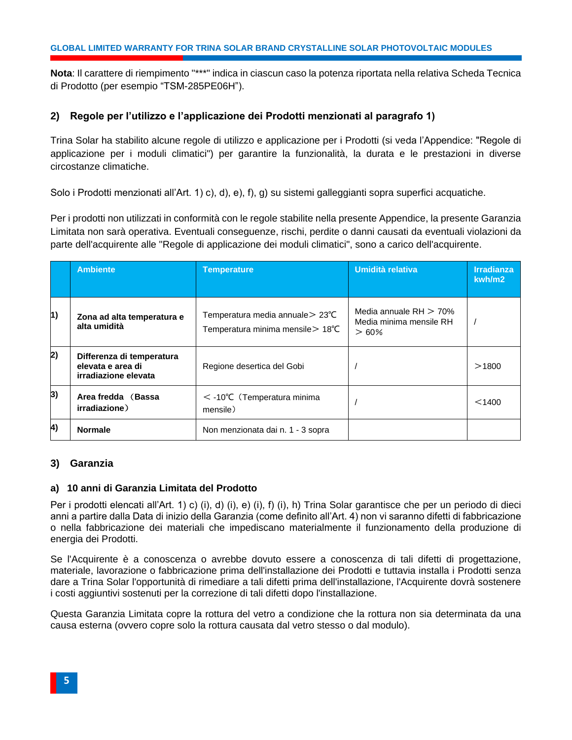**Nota**: Il carattere di riempimento "\*\*\*" indica in ciascun caso la potenza riportata nella relativa Scheda Tecnica di Prodotto (per esempio "TSM-285PE06H").

# <span id="page-7-0"></span>**2) Regole per l'utilizzo e l'applicazione dei Prodotti menzionati al paragrafo 1)**

Trina Solar ha stabilito alcune regole di utilizzo e applicazione per i Prodotti (si veda l'Appendice: "Regole di applicazione per i moduli climatici") per garantire la funzionalità, la durata e le prestazioni in diverse circostanze climatiche.

Solo i Prodotti menzionati all'Art. 1) c), d), e), f), g) su sistemi galleggianti sopra superfici acquatiche.

Per i prodotti non utilizzati in conformità con le regole stabilite nella presente Appendice, la presente Garanzia Limitata non sarà operativa. Eventuali conseguenze, rischi, perdite o danni causati da eventuali violazioni da parte dell'acquirente alle "Regole di applicazione dei moduli climatici", sono a carico dell'acquirente.

|    | <b>Ambiente</b>                                                        | <b>Temperature</b>                                                    | Umidità relativa                                             | <b>Irradianza</b><br>kwh/m2 |
|----|------------------------------------------------------------------------|-----------------------------------------------------------------------|--------------------------------------------------------------|-----------------------------|
| 1) | Zona ad alta temperatura e<br>alta umidità                             | Temperatura media annuale > 23°C<br>Temperatura minima mensile > 18°C | Media annuale $RH > 70\%$<br>Media minima mensile RH<br>>60% |                             |
| 2) | Differenza di temperatura<br>elevata e area di<br>irradiazione elevata | Regione desertica del Gobi                                            |                                                              | >1800                       |
| 3) | Area fredda (Bassa<br>irradiazione)                                    | $\leq$ -10°C (Temperatura minima<br>mensile)                          |                                                              | < 1400                      |
| 4) | <b>Normale</b>                                                         | Non menzionata dai n. 1 - 3 sopra                                     |                                                              |                             |

# <span id="page-7-1"></span>**3) Garanzia**

# **a) 10 anni di Garanzia Limitata del Prodotto**

Per i prodotti elencati all'Art. 1) c) (i), d) (i), e) (i), f) (i), h) Trina Solar garantisce che per un periodo di dieci anni a partire dalla Data di inizio della Garanzia (come definito all'Art. 4) non vi saranno difetti di fabbricazione o nella fabbricazione dei materiali che impediscano materialmente il funzionamento della produzione di energia dei Prodotti.

Se l'Acquirente è a conoscenza o avrebbe dovuto essere a conoscenza di tali difetti di progettazione, materiale, lavorazione o fabbricazione prima dell'installazione dei Prodotti e tuttavia installa i Prodotti senza dare a Trina Solar l'opportunità di rimediare a tali difetti prima dell'installazione, l'Acquirente dovrà sostenere i costi aggiuntivi sostenuti per la correzione di tali difetti dopo l'installazione.

Questa Garanzia Limitata copre la rottura del vetro a condizione che la rottura non sia determinata da una causa esterna (ovvero copre solo la rottura causata dal vetro stesso o dal modulo).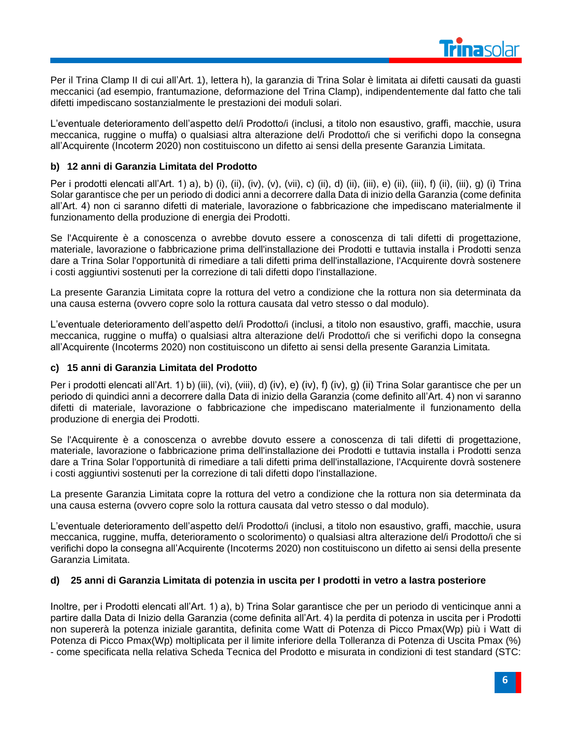

Per il Trina Clamp II di cui all'Art. 1), lettera h), la garanzia di Trina Solar è limitata ai difetti causati da guasti meccanici (ad esempio, frantumazione, deformazione del Trina Clamp), indipendentemente dal fatto che tali difetti impediscano sostanzialmente le prestazioni dei moduli solari.

L'eventuale deterioramento dell'aspetto del/i Prodotto/i (inclusi, a titolo non esaustivo, graffi, macchie, usura meccanica, ruggine o muffa) o qualsiasi altra alterazione del/i Prodotto/i che si verifichi dopo la consegna all'Acquirente (Incoterm 2020) non costituiscono un difetto ai sensi della presente Garanzia Limitata.

# **b) 12 anni di Garanzia Limitata del Prodotto**

Per i prodotti elencati all'Art. 1) a), b) (i), (ii), (iv), (v), (vii), c) (ii), d) (ii), (iii), e) (ii), (iii), f) (ii), (iii), g) (i) Trina Solar garantisce che per un periodo di dodici anni a decorrere dalla Data di inizio della Garanzia (come definita all'Art. 4) non ci saranno difetti di materiale, lavorazione o fabbricazione che impediscano materialmente il funzionamento della produzione di energia dei Prodotti.

Se l'Acquirente è a conoscenza o avrebbe dovuto essere a conoscenza di tali difetti di progettazione, materiale, lavorazione o fabbricazione prima dell'installazione dei Prodotti e tuttavia installa i Prodotti senza dare a Trina Solar l'opportunità di rimediare a tali difetti prima dell'installazione, l'Acquirente dovrà sostenere i costi aggiuntivi sostenuti per la correzione di tali difetti dopo l'installazione.

La presente Garanzia Limitata copre la rottura del vetro a condizione che la rottura non sia determinata da una causa esterna (ovvero copre solo la rottura causata dal vetro stesso o dal modulo).

L'eventuale deterioramento dell'aspetto del/i Prodotto/i (inclusi, a titolo non esaustivo, graffi, macchie, usura meccanica, ruggine o muffa) o qualsiasi altra alterazione del/i Prodotto/i che si verifichi dopo la consegna all'Acquirente (Incoterms 2020) non costituiscono un difetto ai sensi della presente Garanzia Limitata.

# **c) 15 anni di Garanzia Limitata del Prodotto**

Per i prodotti elencati all'Art. 1) b) (iii), (vi), (viii), d) (iv), e) (iv), f) (iv), g) (ii) Trina Solar garantisce che per un periodo di quindici anni a decorrere dalla Data di inizio della Garanzia (come definito all'Art. 4) non vi saranno difetti di materiale, lavorazione o fabbricazione che impediscano materialmente il funzionamento della produzione di energia dei Prodotti.

Se l'Acquirente è a conoscenza o avrebbe dovuto essere a conoscenza di tali difetti di progettazione, materiale, lavorazione o fabbricazione prima dell'installazione dei Prodotti e tuttavia installa i Prodotti senza dare a Trina Solar l'opportunità di rimediare a tali difetti prima dell'installazione, l'Acquirente dovrà sostenere i costi aggiuntivi sostenuti per la correzione di tali difetti dopo l'installazione.

La presente Garanzia Limitata copre la rottura del vetro a condizione che la rottura non sia determinata da una causa esterna (ovvero copre solo la rottura causata dal vetro stesso o dal modulo).

L'eventuale deterioramento dell'aspetto del/i Prodotto/i (inclusi, a titolo non esaustivo, graffi, macchie, usura meccanica, ruggine, muffa, deterioramento o scolorimento) o qualsiasi altra alterazione del/i Prodotto/i che si verifichi dopo la consegna all'Acquirente (Incoterms 2020) non costituiscono un difetto ai sensi della presente Garanzia Limitata.

# **d) 25 anni di Garanzia Limitata di potenzia in uscita per I prodotti in vetro a lastra posteriore**

Inoltre, per i Prodotti elencati all'Art. 1) a), b) Trina Solar garantisce che per un periodo di venticinque anni a partire dalla Data di Inizio della Garanzia (come definita all'Art. 4) la perdita di potenza in uscita per i Prodotti non supererà la potenza iniziale garantita, definita come Watt di Potenza di Picco Pmax(Wp) più i Watt di Potenza di Picco Pmax(Wp) moltiplicata per il limite inferiore della Tolleranza di Potenza di Uscita Pmax (%) - come specificata nella relativa Scheda Tecnica del Prodotto e misurata in condizioni di test standard (STC: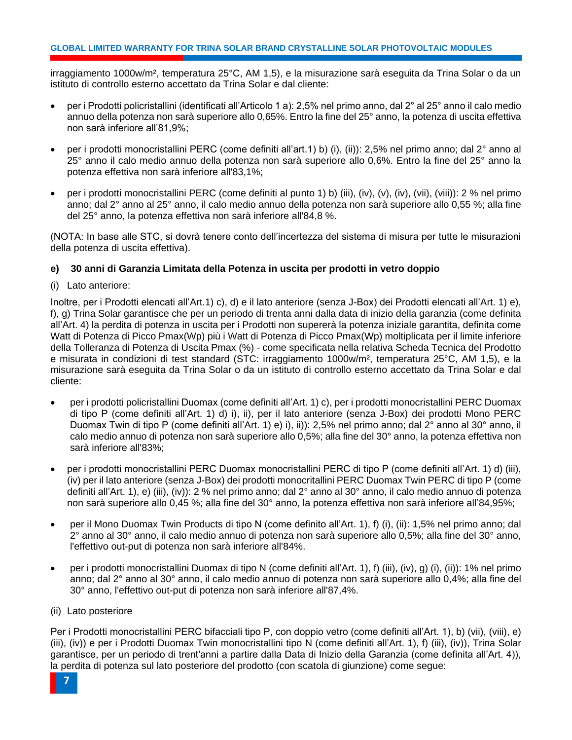irraggiamento 1000w/m², temperatura 25°C, AM 1,5), e la misurazione sarà eseguita da Trina Solar o da un istituto di controllo esterno accettato da Trina Solar e dal cliente:

- per i Prodotti policristallini (identificati all'Articolo 1 a): 2,5% nel primo anno, dal 2° al 25° anno il calo medio annuo della potenza non sarà superiore allo 0,65%. Entro la fine del 25° anno, la potenza di uscita effettiva non sarà inferiore all'81,9%;
- per i prodotti monocristallini PERC (come definiti all'art.1) b) (i), (ii)): 2,5% nel primo anno; dal 2° anno al 25° anno il calo medio annuo della potenza non sarà superiore allo 0,6%. Entro la fine del 25° anno la potenza effettiva non sarà inferiore all'83,1%;
- per i prodotti monocristallini PERC (come definiti al punto 1) b) (iii), (iv), (v), (iv), (vii), (viii)): 2 % nel primo anno; dal 2° anno al 25° anno, il calo medio annuo della potenza non sarà superiore allo 0,55 %; alla fine del 25° anno, la potenza effettiva non sarà inferiore all'84,8 %.

(NOTA: In base alle STC, si dovrà tenere conto dell'incertezza del sistema di misura per tutte le misurazioni della potenza di uscita effettiva).

# **e) 30 anni di Garanzia Limitata della Potenza in uscita per prodotti in vetro doppio**

(i) Lato anteriore:

Inoltre, per i Prodotti elencati all'Art.1) c), d) e il lato anteriore (senza J-Box) dei Prodotti elencati all'Art. 1) e), f), g) Trina Solar garantisce che per un periodo di trenta anni dalla data di inizio della garanzia (come definita all'Art. 4) la perdita di potenza in uscita per i Prodotti non supererà la potenza iniziale garantita, definita come Watt di Potenza di Picco Pmax(Wp) più i Watt di Potenza di Picco Pmax(Wp) moltiplicata per il limite inferiore della Tolleranza di Potenza di Uscita Pmax (%) - come specificata nella relativa Scheda Tecnica del Prodotto e misurata in condizioni di test standard (STC: irraggiamento 1000w/m², temperatura 25°C, AM 1,5), e la misurazione sarà eseguita da Trina Solar o da un istituto di controllo esterno accettato da Trina Solar e dal cliente:

- per i prodotti policristallini Duomax (come definiti all'Art. 1) c), per i prodotti monocristallini PERC Duomax di tipo P (come definiti all'Art. 1) d) i), ii), per il lato anteriore (senza J-Box) dei prodotti Mono PERC Duomax Twin di tipo P (come definiti all'Art. 1) e) i), ii)): 2,5% nel primo anno; dal 2° anno al 30° anno, il calo medio annuo di potenza non sarà superiore allo 0,5%; alla fine del 30° anno, la potenza effettiva non sarà inferiore all'83%;
- per i prodotti monocristallini PERC Duomax monocristallini PERC di tipo P (come definiti all'Art. 1) d) (iii), (iv) per il lato anteriore (senza J-Box) dei prodotti monocritallini PERC Duomax Twin PERC di tipo P (come definiti all'Art. 1), e) (iii), (iv)): 2 % nel primo anno; dal 2° anno al 30° anno, il calo medio annuo di potenza non sarà superiore allo 0,45 %; alla fine del 30° anno, la potenza effettiva non sarà inferiore all'84,95%;
- per il Mono Duomax Twin Products di tipo N (come definito all'Art. 1), f) (i), (ii): 1,5% nel primo anno; dal 2° anno al 30° anno, il calo medio annuo di potenza non sarà superiore allo 0,5%; alla fine del 30° anno, l'effettivo out-put di potenza non sarà inferiore all'84%.
- per i prodotti monocristallini Duomax di tipo N (come definiti all'Art. 1), f) (iii), (iv), g) (i), (ii)): 1% nel primo anno; dal 2° anno al 30° anno, il calo medio annuo di potenza non sarà superiore allo 0,4%; alla fine del 30° anno, l'effettivo out-put di potenza non sarà inferiore all'87,4%.
- (ii) Lato posteriore

Per i Prodotti monocristallini PERC bifacciali tipo P, con doppio vetro (come definiti all'Art. 1), b) (vii), (viii), e) (iii), (iv)) e per i Prodotti Duomax Twin monocristallini tipo N (come definiti all'Art. 1), f) (iii), (iv)), Trina Solar garantisce, per un periodo di trent'anni a partire dalla Data di Inizio della Garanzia (come definita all'Art. 4)), la perdita di potenza sul lato posteriore del prodotto (con scatola di giunzione) come segue: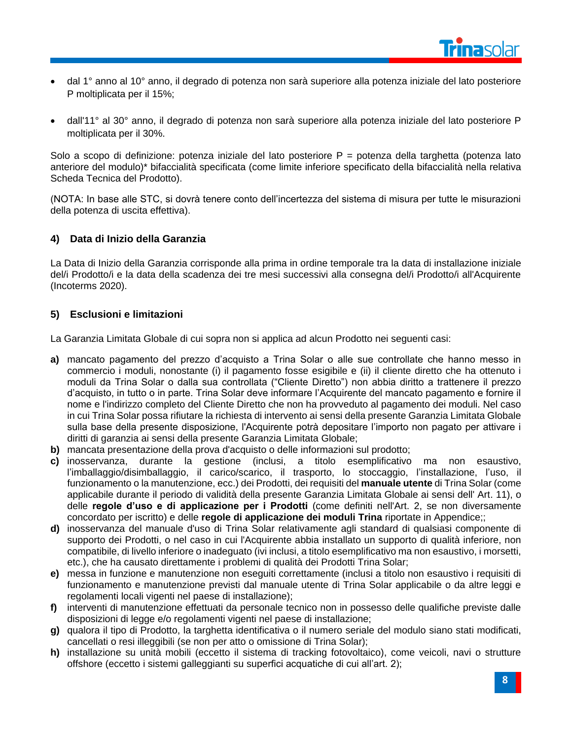- dal 1° anno al 10° anno, il degrado di potenza non sarà superiore alla potenza iniziale del lato posteriore P moltiplicata per il 15%;
- dall'11° al 30° anno, il degrado di potenza non sarà superiore alla potenza iniziale del lato posteriore P moltiplicata per il 30%.

Solo a scopo di definizione: potenza iniziale del lato posteriore P = potenza della targhetta (potenza lato anteriore del modulo)\* bifaccialità specificata (come limite inferiore specificato della bifaccialità nella relativa Scheda Tecnica del Prodotto).

(NOTA: In base alle STC, si dovrà tenere conto dell'incertezza del sistema di misura per tutte le misurazioni della potenza di uscita effettiva).

# <span id="page-10-0"></span>**4) Data di Inizio della Garanzia**

La Data di Inizio della Garanzia corrisponde alla prima in ordine temporale tra la data di installazione iniziale del/i Prodotto/i e la data della scadenza dei tre mesi successivi alla consegna del/i Prodotto/i all'Acquirente (Incoterms 2020).

# <span id="page-10-1"></span>**5) Esclusioni e limitazioni**

La Garanzia Limitata Globale di cui sopra non si applica ad alcun Prodotto nei seguenti casi:

- **a)** mancato pagamento del prezzo d'acquisto a Trina Solar o alle sue controllate che hanno messo in commercio i moduli, nonostante (i) il pagamento fosse esigibile e (ii) il cliente diretto che ha ottenuto i moduli da Trina Solar o dalla sua controllata ("Cliente Diretto") non abbia diritto a trattenere il prezzo d'acquisto, in tutto o in parte. Trina Solar deve informare l'Acquirente del mancato pagamento e fornire il nome e l'indirizzo completo del Cliente Diretto che non ha provveduto al pagamento dei moduli. Nel caso in cui Trina Solar possa rifiutare la richiesta di intervento ai sensi della presente Garanzia Limitata Globale sulla base della presente disposizione, l'Acquirente potrà depositare l'importo non pagato per attivare i diritti di garanzia ai sensi della presente Garanzia Limitata Globale;
- **b)** mancata presentazione della prova d'acquisto o delle informazioni sul prodotto;
- **c)** inosservanza, durante la gestione (inclusi, a titolo esemplificativo ma non esaustivo, l'imballaggio/disimballaggio, il carico/scarico, il trasporto, lo stoccaggio, l'installazione, l'uso, il funzionamento o la manutenzione, ecc.) dei Prodotti, dei requisiti del **manuale utente** di Trina Solar (come applicabile durante il periodo di validità della presente Garanzia Limitata Globale ai sensi dell' Art. 11), o delle **regole d'uso e di applicazione per i Prodotti** (come definiti nell'Art. 2, se non diversamente concordato per iscritto) e delle **regole di applicazione dei moduli Trina** riportate in Appendice;;
- **d)** inosservanza del manuale d'uso di Trina Solar relativamente agli standard di qualsiasi componente di supporto dei Prodotti, o nel caso in cui l'Acquirente abbia installato un supporto di qualità inferiore, non compatibile, di livello inferiore o inadeguato (ivi inclusi, a titolo esemplificativo ma non esaustivo, i morsetti, etc.), che ha causato direttamente i problemi di qualità dei Prodotti Trina Solar;
- **e)** messa in funzione e manutenzione non eseguiti correttamente (inclusi a titolo non esaustivo i requisiti di funzionamento e manutenzione previsti dal manuale utente di Trina Solar applicabile o da altre leggi e regolamenti locali vigenti nel paese di installazione);
- **f)** interventi di manutenzione effettuati da personale tecnico non in possesso delle qualifiche previste dalle disposizioni di legge e/o regolamenti vigenti nel paese di installazione;
- **g)** qualora il tipo di Prodotto, la targhetta identificativa o il numero seriale del modulo siano stati modificati, cancellati o resi illeggibili (se non per atto o omissione di Trina Solar);
- **h)** installazione su unità mobili (eccetto il sistema di tracking fotovoltaico), come veicoli, navi o strutture offshore (eccetto i sistemi galleggianti su superfici acquatiche di cui all'art. 2);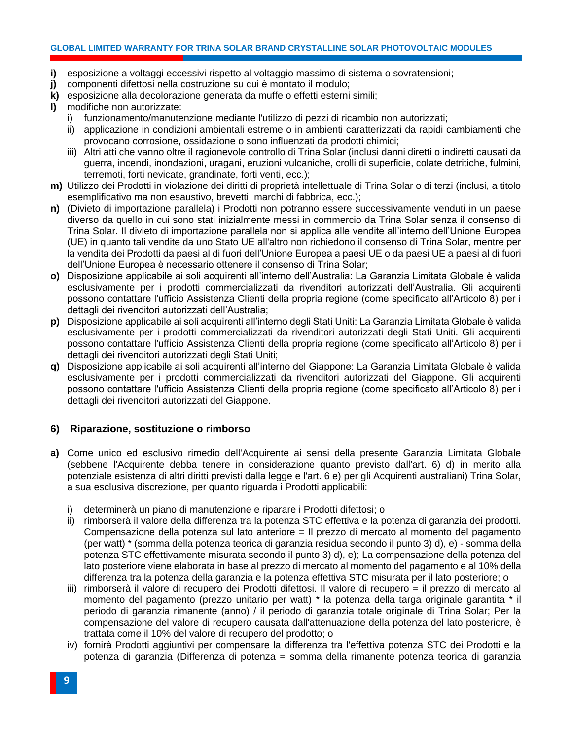#### **GLOBAL LIMITED WARRANTY FOR TRINA SOLAR BRAND CRYSTALLINE SOLAR PHOTOVOLTAIC MODULES**

- **i)** esposizione a voltaggi eccessivi rispetto al voltaggio massimo di sistema o sovratensioni;
- **j)** componenti difettosi nella costruzione su cui è montato il modulo;
- **k)** esposizione alla decolorazione generata da muffe o effetti esterni simili;
- **l)** modifiche non autorizzate:
	- funzionamento/manutenzione mediante l'utilizzo di pezzi di ricambio non autorizzati;
	- ii) applicazione in condizioni ambientali estreme o in ambienti caratterizzati da rapidi cambiamenti che provocano corrosione, ossidazione o sono influenzati da prodotti chimici;
	- iii) Altri atti che vanno oltre il ragionevole controllo di Trina Solar (inclusi danni diretti o indiretti causati da guerra, incendi, inondazioni, uragani, eruzioni vulcaniche, crolli di superficie, colate detritiche, fulmini, terremoti, forti nevicate, grandinate, forti venti, ecc.);
- **m)** Utilizzo dei Prodotti in violazione dei diritti di proprietà intellettuale di Trina Solar o di terzi (inclusi, a titolo esemplificativo ma non esaustivo, brevetti, marchi di fabbrica, ecc.);
- **n)** (Divieto di importazione parallela) i Prodotti non potranno essere successivamente venduti in un paese diverso da quello in cui sono stati inizialmente messi in commercio da Trina Solar senza il consenso di Trina Solar. Il divieto di importazione parallela non si applica alle vendite all'interno dell'Unione Europea (UE) in quanto tali vendite da uno Stato UE all'altro non richiedono il consenso di Trina Solar, mentre per la vendita dei Prodotti da paesi al di fuori dell'Unione Europea a paesi UE o da paesi UE a paesi al di fuori dell'Unione Europea è necessario ottenere il consenso di Trina Solar;
- **o)** Disposizione applicabile ai soli acquirenti all'interno dell'Australia: La Garanzia Limitata Globale è valida esclusivamente per i prodotti commercializzati da rivenditori autorizzati dell'Australia. Gli acquirenti possono contattare l'ufficio Assistenza Clienti della propria regione (come specificato all'Articolo 8) per i dettagli dei rivenditori autorizzati dell'Australia;
- **p)** Disposizione applicabile ai soli acquirenti all'interno degli Stati Uniti: La Garanzia Limitata Globale è valida esclusivamente per i prodotti commercializzati da rivenditori autorizzati degli Stati Uniti. Gli acquirenti possono contattare l'ufficio Assistenza Clienti della propria regione (come specificato all'Articolo 8) per i dettagli dei rivenditori autorizzati degli Stati Uniti;
- **q)** Disposizione applicabile ai soli acquirenti all'interno del Giappone: La Garanzia Limitata Globale è valida esclusivamente per i prodotti commercializzati da rivenditori autorizzati del Giappone. Gli acquirenti possono contattare l'ufficio Assistenza Clienti della propria regione (come specificato all'Articolo 8) per i dettagli dei rivenditori autorizzati del Giappone.

# <span id="page-11-0"></span>**6) Riparazione, sostituzione o rimborso**

- **a)** Come unico ed esclusivo rimedio dell'Acquirente ai sensi della presente Garanzia Limitata Globale (sebbene l'Acquirente debba tenere in considerazione quanto previsto dall'art. 6) d) in merito alla potenziale esistenza di altri diritti previsti dalla legge e l'art. 6 e) per gli Acquirenti australiani) Trina Solar, a sua esclusiva discrezione, per quanto riguarda i Prodotti applicabili:
	- i) determinerà un piano di manutenzione e riparare i Prodotti difettosi; o
	- ii) rimborserà il valore della differenza tra la potenza STC effettiva e la potenza di garanzia dei prodotti. Compensazione della potenza sul lato anteriore = Il prezzo di mercato al momento del pagamento (per watt) \* (somma della potenza teorica di garanzia residua secondo il punto 3) d), e) - somma della potenza STC effettivamente misurata secondo il punto 3) d), e); La compensazione della potenza del lato posteriore viene elaborata in base al prezzo di mercato al momento del pagamento e al 10% della differenza tra la potenza della garanzia e la potenza effettiva STC misurata per il lato posteriore; o
	- iii) rimborserà il valore di recupero dei Prodotti difettosi. Il valore di recupero = il prezzo di mercato al momento del pagamento (prezzo unitario per watt) \* la potenza della targa originale garantita \* il periodo di garanzia rimanente (anno) / il periodo di garanzia totale originale di Trina Solar; Per la compensazione del valore di recupero causata dall'attenuazione della potenza del lato posteriore, è trattata come il 10% del valore di recupero del prodotto; o
	- iv) fornirà Prodotti aggiuntivi per compensare la differenza tra l'effettiva potenza STC dei Prodotti e la potenza di garanzia (Differenza di potenza = somma della rimanente potenza teorica di garanzia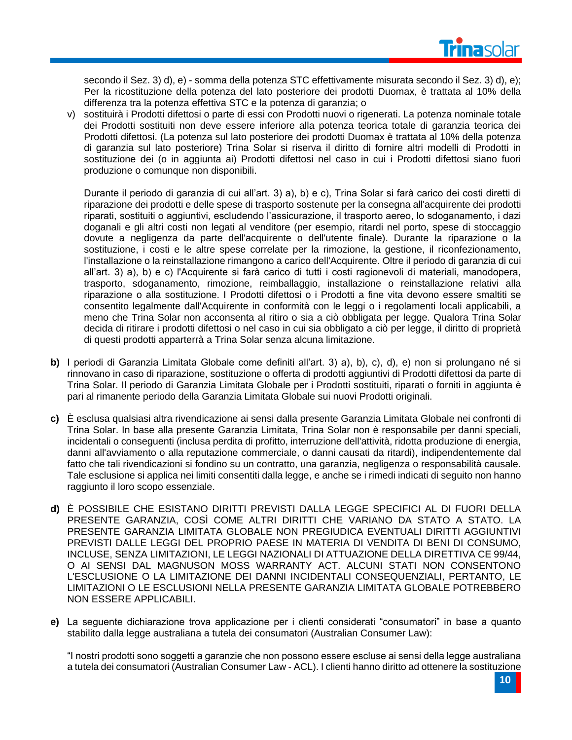

secondo il Sez. 3) d), e) - somma della potenza STC effettivamente misurata secondo il Sez. 3) d), e); Per la ricostituzione della potenza del lato posteriore dei prodotti Duomax, è trattata al 10% della differenza tra la potenza effettiva STC e la potenza di garanzia; o

v) sostituirà i Prodotti difettosi o parte di essi con Prodotti nuovi o rigenerati. La potenza nominale totale dei Prodotti sostituiti non deve essere inferiore alla potenza teorica totale di garanzia teorica dei Prodotti difettosi. (La potenza sul lato posteriore dei prodotti Duomax è trattata al 10% della potenza di garanzia sul lato posteriore) Trina Solar si riserva il diritto di fornire altri modelli di Prodotti in sostituzione dei (o in aggiunta ai) Prodotti difettosi nel caso in cui i Prodotti difettosi siano fuori produzione o comunque non disponibili.

Durante il periodo di garanzia di cui all'art. 3) a), b) e c), Trina Solar si farà carico dei costi diretti di riparazione dei prodotti e delle spese di trasporto sostenute per la consegna all'acquirente dei prodotti riparati, sostituiti o aggiuntivi, escludendo l'assicurazione, il trasporto aereo, lo sdoganamento, i dazi doganali e gli altri costi non legati al venditore (per esempio, ritardi nel porto, spese di stoccaggio dovute a negligenza da parte dell'acquirente o dell'utente finale). Durante la riparazione o la sostituzione, i costi e le altre spese correlate per la rimozione, la gestione, il riconfezionamento, l'installazione o la reinstallazione rimangono a carico dell'Acquirente. Oltre il periodo di garanzia di cui all'art. 3) a), b) e c) l'Acquirente si farà carico di tutti i costi ragionevoli di materiali, manodopera, trasporto, sdoganamento, rimozione, reimballaggio, installazione o reinstallazione relativi alla riparazione o alla sostituzione. I Prodotti difettosi o i Prodotti a fine vita devono essere smaltiti se consentito legalmente dall'Acquirente in conformità con le leggi o i regolamenti locali applicabili, a meno che Trina Solar non acconsenta al ritiro o sia a ciò obbligata per legge. Qualora Trina Solar decida di ritirare i prodotti difettosi o nel caso in cui sia obbligato a ciò per legge, il diritto di proprietà di questi prodotti apparterrà a Trina Solar senza alcuna limitazione.

- **b)** I periodi di Garanzia Limitata Globale come definiti all'art. 3) a), b), c), d), e) non si prolungano né si rinnovano in caso di riparazione, sostituzione o offerta di prodotti aggiuntivi di Prodotti difettosi da parte di Trina Solar. Il periodo di Garanzia Limitata Globale per i Prodotti sostituiti, riparati o forniti in aggiunta è pari al rimanente periodo della Garanzia Limitata Globale sui nuovi Prodotti originali.
- **c)** È esclusa qualsiasi altra rivendicazione ai sensi dalla presente Garanzia Limitata Globale nei confronti di Trina Solar. In base alla presente Garanzia Limitata, Trina Solar non è responsabile per danni speciali, incidentali o conseguenti (inclusa perdita di profitto, interruzione dell'attività, ridotta produzione di energia, danni all'avviamento o alla reputazione commerciale, o danni causati da ritardi), indipendentemente dal fatto che tali rivendicazioni si fondino su un contratto, una garanzia, negligenza o responsabilità causale. Tale esclusione si applica nei limiti consentiti dalla legge, e anche se i rimedi indicati di seguito non hanno raggiunto il loro scopo essenziale.
- **d)** È POSSIBILE CHE ESISTANO DIRITTI PREVISTI DALLA LEGGE SPECIFICI AL DI FUORI DELLA PRESENTE GARANZIA, COSÌ COME ALTRI DIRITTI CHE VARIANO DA STATO A STATO. LA PRESENTE GARANZIA LIMITATA GLOBALE NON PREGIUDICA EVENTUALI DIRITTI AGGIUNTIVI PREVISTI DALLE LEGGI DEL PROPRIO PAESE IN MATERIA DI VENDITA DI BENI DI CONSUMO, INCLUSE, SENZA LIMITAZIONI, LE LEGGI NAZIONALI DI ATTUAZIONE DELLA DIRETTIVA CE 99/44, O AI SENSI DAL MAGNUSON MOSS WARRANTY ACT. ALCUNI STATI NON CONSENTONO L'ESCLUSIONE O LA LIMITAZIONE DEI DANNI INCIDENTALI CONSEQUENZIALI, PERTANTO, LE LIMITAZIONI O LE ESCLUSIONI NELLA PRESENTE GARANZIA LIMITATA GLOBALE POTREBBERO NON ESSERE APPLICABILI.
- **e)** La seguente dichiarazione trova applicazione per i clienti considerati "consumatori" in base a quanto stabilito dalla legge australiana a tutela dei consumatori (Australian Consumer Law):

"I nostri prodotti sono soggetti a garanzie che non possono essere escluse ai sensi della legge australiana a tutela dei consumatori (Australian Consumer Law - ACL). I clienti hanno diritto ad ottenere la sostituzione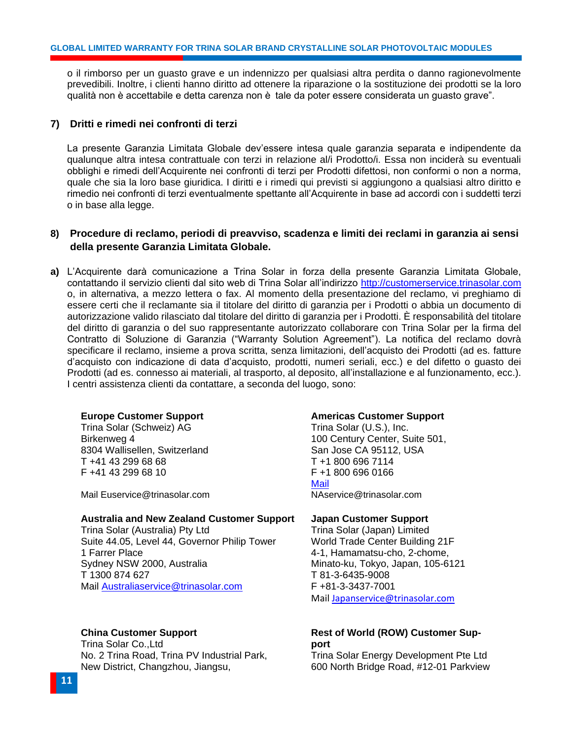o il rimborso per un guasto grave e un indennizzo per qualsiasi altra perdita o danno ragionevolmente prevedibili. Inoltre, i clienti hanno diritto ad ottenere la riparazione o la sostituzione dei prodotti se la loro qualità non è accettabile e detta carenza non è tale da poter essere considerata un guasto grave".

# <span id="page-13-0"></span>**7) Dritti e rimedi nei confronti di terzi**

La presente Garanzia Limitata Globale dev'essere intesa quale garanzia separata e indipendente da qualunque altra intesa contrattuale con terzi in relazione al/i Prodotto/i. Essa non inciderà su eventuali obblighi e rimedi dell'Acquirente nei confronti di terzi per Prodotti difettosi, non conformi o non a norma, quale che sia la loro base giuridica. I diritti e i rimedi qui previsti si aggiungono a qualsiasi altro diritto e rimedio nei confronti di terzi eventualmente spettante all'Acquirente in base ad accordi con i suddetti terzi o in base alla legge.

# <span id="page-13-1"></span>**8) Procedure di reclamo, periodi di preavviso, scadenza e limiti dei reclami in garanzia ai sensi della presente Garanzia Limitata Globale.**

**a)** L'Acquirente darà comunicazione a Trina Solar in forza della presente Garanzia Limitata Globale, contattando il servizio clienti dal sito web di Trina Solar all'indirizzo [http://customerservice.trinasolar.com](http://customerservice.trinasolar.com/) o, in alternativa, a mezzo lettera o fax. Al momento della presentazione del reclamo, vi preghiamo di essere certi che il reclamante sia il titolare del diritto di garanzia per i Prodotti o abbia un documento di autorizzazione valido rilasciato dal titolare del diritto di garanzia per i Prodotti. È responsabilità del titolare del diritto di garanzia o del suo rappresentante autorizzato collaborare con Trina Solar per la firma del Contratto di Soluzione di Garanzia ("Warranty Solution Agreement"). La notifica del reclamo dovrà specificare il reclamo, insieme a prova scritta, senza limitazioni, dell'acquisto dei Prodotti (ad es. fatture d'acquisto con indicazione di data d'acquisto, prodotti, numeri seriali, ecc.) e del difetto o guasto dei Prodotti (ad es. connesso ai materiali, al trasporto, al deposito, all'installazione e al funzionamento, ecc.). I centri assistenza clienti da contattare, a seconda del luogo, sono:

#### **Europe Customer Support**

Trina Solar (Schweiz) AG Birkenweg 4 8304 Wallisellen, Switzerland T +41 43 299 68 68 F +41 43 299 68 10

Mail [Euservice@trinasolar.com](mailto:Euservice@trinasolar.com)

#### **Australia and New Zealand Customer Support**

Trina Solar (Australia) Pty Ltd Suite 44.05, Level 44, Governor Philip Tower 1 Farrer Place Sydney NSW 2000, Australia T 1300 874 627 Mail [Australiaservice@trinasolar.com](mailto:Australiaservice@trinasolar.comhttp://customerservice.trinasolar.com)

# **China Customer Support**

Trina Solar Co.,Ltd No. 2 Trina Road, Trina PV Industrial Park, New District, Changzhou, Jiangsu,

#### **Americas Customer Support**

Trina Solar (U.S.), Inc. 100 Century Center, Suite 501, San Jose CA 95112, USA T +1 800 696 7114 F +1 800 696 0166 Mail [NAservice@trinasolar.com](mailto:NAservice@trinasolar.com)

### **Japan Customer Support**

Trina Solar (Japan) Limited World Trade Center Building 21F 4-1, Hamamatsu-cho, 2-chome, Minato-ku, Tokyo, Japan, 105-6121 T 81-3-6435-9008 F +81-3-3437-7001 Mail [Japanservice@trinasolar.com](mailto:Japanservice@trinasolar.com)

# **Rest of World (ROW) Customer Support**

Trina Solar Energy Development Pte Ltd 600 North Bridge Road, #12-01 Parkview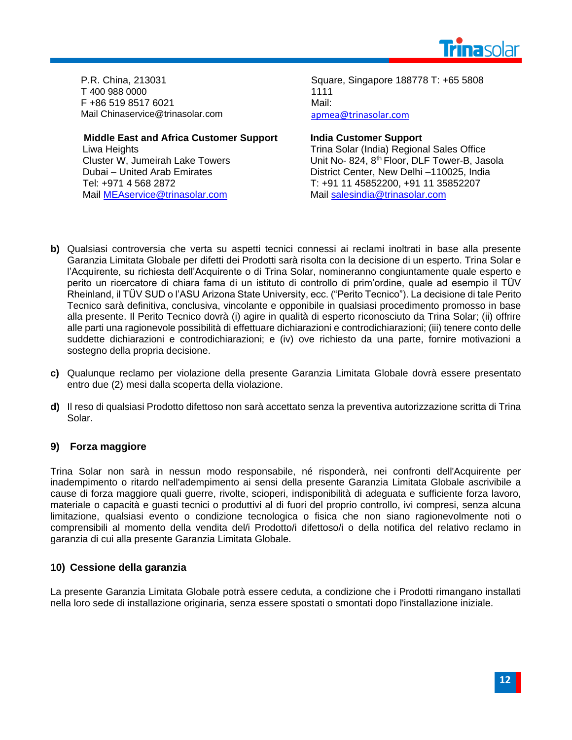

P.R. China, 213031 T 400 988 0000 F +86 519 8517 6021 Mail [Chinaservice@trinasolar.com](mailto:Chinaservice@trinasolar.com)

**Middle East and Africa Customer Support**

Liwa Heights Cluster W, Jumeirah Lake Towers Dubai – United Arab Emirates Tel: +971 4 568 2872 Mail [MEAservice@trinasolar.com](mailto:MEAservice@trinasolar.com)

Square, Singapore 188778 T: +65 5808 1111 Mail: [apmea@trinasolar.com](mailto:apmea@trinasolar.com)

# **India Customer Support**

Trina Solar (India) Regional Sales Office Unit No- 824, 8<sup>th</sup> Floor, DLF Tower-B, Jasola District Center, New Delhi –110025, India T: +91 11 45852200, +91 11 35852207 Mail [salesindia@trinasolar.com](mailto:salesindia@trinasolar.com)

- **b)** Qualsiasi controversia che verta su aspetti tecnici connessi ai reclami inoltrati in base alla presente Garanzia Limitata Globale per difetti dei Prodotti sarà risolta con la decisione di un esperto. Trina Solar e l'Acquirente, su richiesta dell'Acquirente o di Trina Solar, nomineranno congiuntamente quale esperto e perito un ricercatore di chiara fama di un istituto di controllo di prim'ordine, quale ad esempio il TÜV Rheinland, il TÜV SUD o l'ASU Arizona State University, ecc. ("Perito Tecnico"). La decisione di tale Perito Tecnico sarà definitiva, conclusiva, vincolante e opponibile in qualsiasi procedimento promosso in base alla presente. Il Perito Tecnico dovrà (i) agire in qualità di esperto riconosciuto da Trina Solar; (ii) offrire alle parti una ragionevole possibilità di effettuare dichiarazioni e controdichiarazioni; (iii) tenere conto delle suddette dichiarazioni e controdichiarazioni; e (iv) ove richiesto da una parte, fornire motivazioni a sostegno della propria decisione.
- **c)** Qualunque reclamo per violazione della presente Garanzia Limitata Globale dovrà essere presentato entro due (2) mesi dalla scoperta della violazione.
- **d)** Il reso di qualsiasi Prodotto difettoso non sarà accettato senza la preventiva autorizzazione scritta di Trina Solar.

# <span id="page-14-0"></span>**9) Forza maggiore**

Trina Solar non sarà in nessun modo responsabile, né risponderà, nei confronti dell'Acquirente per inadempimento o ritardo nell'adempimento ai sensi della presente Garanzia Limitata Globale ascrivibile a cause di forza maggiore quali guerre, rivolte, scioperi, indisponibilità di adeguata e sufficiente forza lavoro, materiale o capacità e guasti tecnici o produttivi al di fuori del proprio controllo, ivi compresi, senza alcuna limitazione, qualsiasi evento o condizione tecnologica o fisica che non siano ragionevolmente noti o comprensibili al momento della vendita del/i Prodotto/i difettoso/i o della notifica del relativo reclamo in garanzia di cui alla presente Garanzia Limitata Globale.

# <span id="page-14-1"></span>**10) Cessione della garanzia**

La presente Garanzia Limitata Globale potrà essere ceduta, a condizione che i Prodotti rimangano installati nella loro sede di installazione originaria, senza essere spostati o smontati dopo l'installazione iniziale.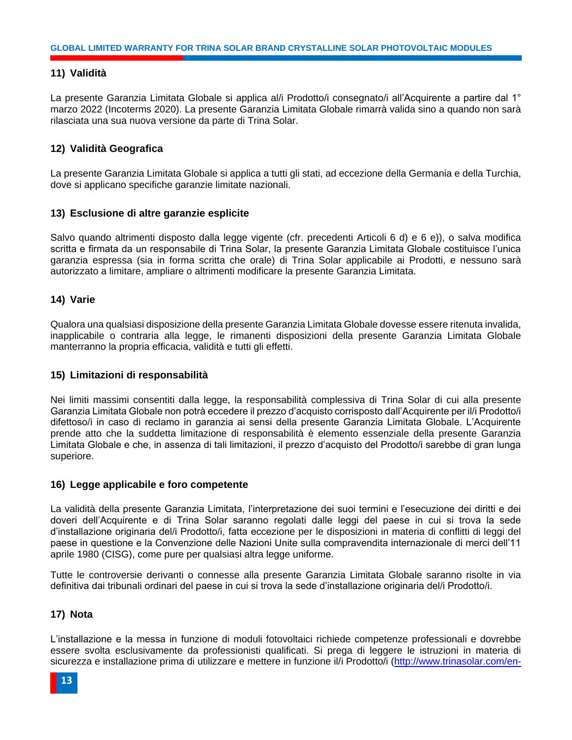# <span id="page-15-0"></span>**11) Validità**

La presente Garanzia Limitata Globale si applica al/i Prodotto/i consegnato/i all'Acquirente a partire dal 1° marzo 2022 (Incoterms 2020). La presente Garanzia Limitata Globale rimarrà valida sino a quando non sarà rilasciata una sua nuova versione da parte di Trina Solar.

# <span id="page-15-1"></span>**12) Validità Geografica**

La presente Garanzia Limitata Globale si applica a tutti gli stati, ad eccezione della Germania e della Turchia, dove si applicano specifiche garanzie limitate nazionali.

# <span id="page-15-2"></span>**13) Esclusione di altre garanzie esplicite**

Salvo quando altrimenti disposto dalla legge vigente (cfr. precedenti Articoli 6 d) e 6 e)), o salva modifica scritta e firmata da un responsabile di Trina Solar, la presente Garanzia Limitata Globale costituisce l'unica garanzia espressa (sia in forma scritta che orale) di Trina Solar applicabile ai Prodotti, e nessuno sarà autorizzato a limitare, ampliare o altrimenti modificare la presente Garanzia Limitata.

# <span id="page-15-3"></span>**14) Varie**

Qualora una qualsiasi disposizione della presente Garanzia Limitata Globale dovesse essere ritenuta invalida, inapplicabile o contraria alla legge, le rimanenti disposizioni della presente Garanzia Limitata Globale manterranno la propria efficacia, validità e tutti gli effetti.

# <span id="page-15-4"></span>**15) Limitazioni di responsabilità**

Nei limiti massimi consentiti dalla legge, la responsabilità complessiva di Trina Solar di cui alla presente Garanzia Limitata Globale non potrà eccedere il prezzo d'acquisto corrisposto dall'Acquirente per il/i Prodotto/i difettoso/i in caso di reclamo in garanzia ai sensi della presente Garanzia Limitata Globale. L'Acquirente prende atto che la suddetta limitazione di responsabilità è elemento essenziale della presente Garanzia Limitata Globale e che, in assenza di tali limitazioni, il prezzo d'acquisto del Prodotto/i sarebbe di gran lunga superiore.

# <span id="page-15-5"></span>**16) Legge applicabile e foro competente**

La validità della presente Garanzia Limitata, l'interpretazione dei suoi termini e l'esecuzione dei diritti e dei doveri dell'Acquirente e di Trina Solar saranno regolati dalle leggi del paese in cui si trova la sede d'installazione originaria del/i Prodotto/i, fatta eccezione per le disposizioni in materia di conflitti di leggi del paese in questione e la Convenzione delle Nazioni Unite sulla compravendita internazionale di merci dell'11 aprile 1980 (CISG), come pure per qualsiasi altra legge uniforme.

Tutte le controversie derivanti o connesse alla presente Garanzia Limitata Globale saranno risolte in via definitiva dai tribunali ordinari del paese in cui si trova la sede d'installazione originaria del/i Prodotto/i.

# <span id="page-15-6"></span>**17) Nota**

L'installazione e la messa in funzione di moduli fotovoltaici richiede competenze professionali e dovrebbe essere svolta esclusivamente da professionisti qualificati. Si prega di leggere le istruzioni in materia di sicurezza e installazione prima di utilizzare e mettere in funzione il/i Prodotto/i [\(http://www.trinasolar.com/en-](http://www.trinasolar.com/en-glb/resources/downloads)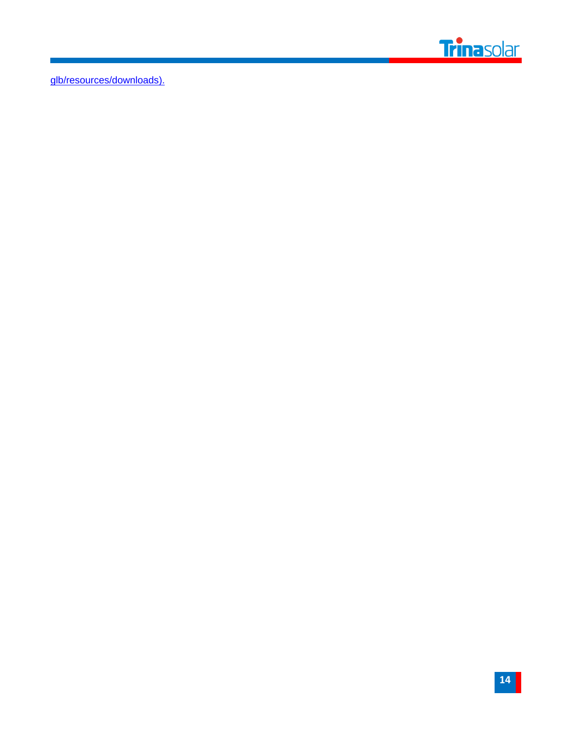

[glb/resources/downloads\)](http://www.trinasolar.com/en-glb/resources/downloads).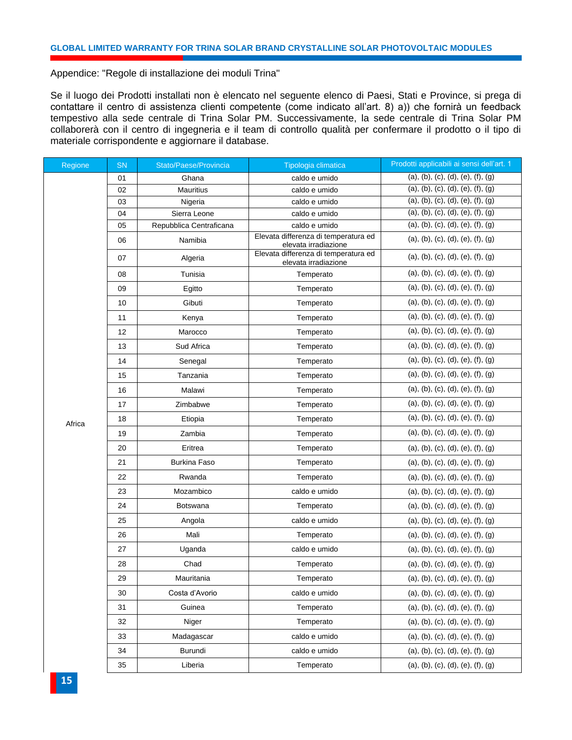Appendice: "Regole di installazione dei moduli Trina"

Se il luogo dei Prodotti installati non è elencato nel seguente elenco di Paesi, Stati e Province, si prega di contattare il centro di assistenza clienti competente (come indicato all'art. 8) a)) che fornirà un feedback tempestivo alla sede centrale di Trina Solar PM. Successivamente, la sede centrale di Trina Solar PM collaborerà con il centro di ingegneria e il team di controllo qualità per confermare il prodotto o il tipo di materiale corrispondente e aggiornare il database.

| Regione | <b>SN</b> | Stato/Paese/Provincia   | Tipologia climatica                                          | Prodotti applicabili ai sensi dell'art. 1 |
|---------|-----------|-------------------------|--------------------------------------------------------------|-------------------------------------------|
|         | 01        | Ghana                   | caldo e umido                                                | (a), (b), (c), (d), (e), (f), (g)         |
|         | 02        | <b>Mauritius</b>        | caldo e umido                                                | (a), (b), (c), (d), (e), (f), (g)         |
|         | 03        | Nigeria                 | caldo e umido                                                | (a), (b), (c), (d), (e), (f), (g)         |
|         | 04        | Sierra Leone            | caldo e umido                                                | (a), (b), (c), (d), (e), (f), (g)         |
|         | 05        | Repubblica Centraficana | caldo e umido                                                | (a), (b), (c), (d), (e), (f), (g)         |
|         | 06        | Namibia                 | Elevata differenza di temperatura ed<br>elevata irradiazione | (a), (b), (c), (d), (e), (f), (g)         |
|         | 07        | Algeria                 | Elevata differenza di temperatura ed<br>elevata irradiazione | (a), (b), (c), (d), (e), (f), (g)         |
|         | 08        | Tunisia                 | Temperato                                                    | (a), (b), (c), (d), (e), (f), (g)         |
|         | 09        | Egitto                  | Temperato                                                    | (a), (b), (c), (d), (e), (f), (g)         |
|         | 10        | Gibuti                  | Temperato                                                    | (a), (b), (c), (d), (e), (f), (g)         |
|         | 11        | Kenya                   | Temperato                                                    | (a), (b), (c), (d), (e), (f), (g)         |
|         | 12        | Marocco                 | Temperato                                                    | (a), (b), (c), (d), (e), (f), (g)         |
|         | 13        | Sud Africa              | Temperato                                                    | (a), (b), (c), (d), (e), (f), (g)         |
|         | 14        | Senegal                 | Temperato                                                    | (a), (b), (c), (d), (e), (f), (g)         |
|         | 15        | Tanzania                | Temperato                                                    | (a), (b), (c), (d), (e), (f), (g)         |
|         | 16        | Malawi                  | Temperato                                                    | (a), (b), (c), (d), (e), (f), (g)         |
|         | 17        | Zimbabwe                | Temperato                                                    | (a), (b), (c), (d), (e), (f), (g)         |
| Africa  | 18        | Etiopia                 | Temperato                                                    | (a), (b), (c), (d), (e), (f), (g)         |
|         | 19        | Zambia                  | Temperato                                                    | (a), (b), (c), (d), (e), (f), (g)         |
|         | 20        | Eritrea                 | Temperato                                                    | (a), (b), (c), (d), (e), (f), (g)         |
|         | 21        | <b>Burkina Faso</b>     | Temperato                                                    | (a), (b), (c), (d), (e), (f), (g)         |
|         | 22        | Rwanda                  | Temperato                                                    | (a), (b), (c), (d), (e), (f), (g)         |
|         | 23        | Mozambico               | caldo e umido                                                | (a), (b), (c), (d), (e), (f), (g)         |
|         | 24        | <b>Botswana</b>         | Temperato                                                    | (a), (b), (c), (d), (e), (f), (g)         |
|         | 25        | Angola                  | caldo e umido                                                | (a), (b), (c), (d), (e), (f), (g)         |
|         | 26        | Mali                    | Temperato                                                    | (a), (b), (c), (d), (e), (f), (g)         |
|         | 27        | Uganda                  | caldo e umido                                                | (a), (b), (c), (d), (e), (f), (g)         |
|         | 28        | Chad                    | Temperato                                                    | (a), (b), (c), (d), (e), (f), (g)         |
|         | 29        | Mauritania              | Temperato                                                    | (a), (b), (c), (d), (e), (f), (g)         |
|         | 30        | Costa d'Avorio          | caldo e umido                                                | (a), (b), (c), (d), (e), (f), (g)         |
|         | 31        | Guinea                  | Temperato                                                    | (a), (b), (c), (d), (e), (f), (g)         |
|         | 32        | Niger                   | Temperato                                                    | (a), (b), (c), (d), (e), (f), (g)         |
|         | 33        | Madagascar              | caldo e umido                                                | (a), (b), (c), (d), (e), (f), (g)         |
|         | 34        | Burundi                 | caldo e umido                                                | (a), (b), (c), (d), (e), (f), (g)         |
|         | 35        | Liberia                 | Temperato                                                    | (a), (b), (c), (d), (e), (f), (g)         |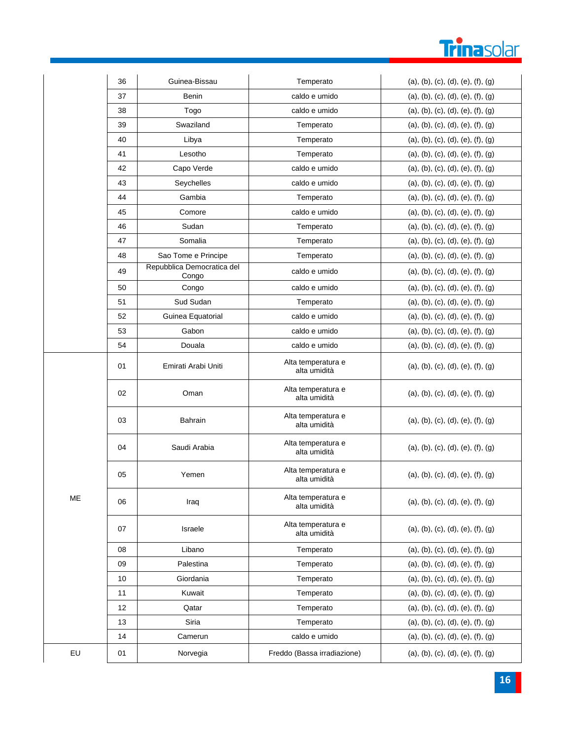# Trinasolar

|    | 36 | Guinea-Bissau                       | Temperato                          | (a), (b), (c), (d), (e), (f), (g) |
|----|----|-------------------------------------|------------------------------------|-----------------------------------|
|    | 37 | Benin                               | caldo e umido                      | (a), (b), (c), (d), (e), (f), (g) |
|    | 38 | Togo                                | caldo e umido                      | (a), (b), (c), (d), (e), (f), (g) |
|    | 39 | Swaziland                           | Temperato                          | (a), (b), (c), (d), (e), (f), (g) |
|    | 40 | Libya                               | Temperato                          | (a), (b), (c), (d), (e), (f), (g) |
|    | 41 | Lesotho                             | Temperato                          | (a), (b), (c), (d), (e), (f), (g) |
|    | 42 | Capo Verde                          | caldo e umido                      | (a), (b), (c), (d), (e), (f), (g) |
|    | 43 | Seychelles                          | caldo e umido                      | (a), (b), (c), (d), (e), (f), (g) |
|    | 44 | Gambia                              | Temperato                          | (a), (b), (c), (d), (e), (f), (g) |
|    | 45 | Comore                              | caldo e umido                      | (a), (b), (c), (d), (e), (f), (g) |
|    | 46 | Sudan                               | Temperato                          | (a), (b), (c), (d), (e), (f), (g) |
|    | 47 | Somalia                             | Temperato                          | (a), (b), (c), (d), (e), (f), (g) |
|    | 48 | Sao Tome e Principe                 | Temperato                          | (a), (b), (c), (d), (e), (f), (g) |
|    | 49 | Repubblica Democratica del<br>Congo | caldo e umido                      | (a), (b), (c), (d), (e), (f), (g) |
|    | 50 | Congo                               | caldo e umido                      | (a), (b), (c), (d), (e), (f), (g) |
|    | 51 | Sud Sudan                           | Temperato                          | (a), (b), (c), (d), (e), (f), (g) |
|    | 52 | Guinea Equatorial                   | caldo e umido                      | (a), (b), (c), (d), (e), (f), (g) |
|    | 53 | Gabon                               | caldo e umido                      | (a), (b), (c), (d), (e), (f), (g) |
|    | 54 | Douala                              | caldo e umido                      | (a), (b), (c), (d), (e), (f), (g) |
|    | 01 | Emirati Arabi Uniti                 | Alta temperatura e<br>alta umidità | (a), (b), (c), (d), (e), (f), (g) |
|    | 02 | Oman                                | Alta temperatura e<br>alta umidità | (a), (b), (c), (d), (e), (f), (g) |
|    | 03 | Bahrain                             | Alta temperatura e<br>alta umidità | (a), (b), (c), (d), (e), (f), (g) |
|    | 04 | Saudi Arabia                        | Alta temperatura e<br>alta umidità | (a), (b), (c), (d), (e), (f), (g) |
|    | 05 | Yemen                               | Alta temperatura e<br>alta umidità | (a), (b), (c), (d), (e), (f), (g) |
| ME | 06 | Iraq                                | Alta temperatura e<br>alta umidità | (a), (b), (c), (d), (e), (f), (g) |
|    | 07 | Israele                             | Alta temperatura e<br>alta umidità | (a), (b), (c), (d), (e), (f), (g) |
|    | 08 | Libano                              | Temperato                          | (a), (b), (c), (d), (e), (f), (g) |
|    | 09 | Palestina                           | Temperato                          | (a), (b), (c), (d), (e), (f), (g) |
|    | 10 | Giordania                           | Temperato                          | (a), (b), (c), (d), (e), (f), (g) |
|    | 11 | Kuwait                              | Temperato                          | (a), (b), (c), (d), (e), (f), (g) |
|    | 12 | Qatar                               | Temperato                          | (a), (b), (c), (d), (e), (f), (g) |
|    | 13 | Siria                               | Temperato                          | (a), (b), (c), (d), (e), (f), (g) |
|    | 14 | Camerun                             | caldo e umido                      | (a), (b), (c), (d), (e), (f), (g) |
| EU | 01 | Norvegia                            | Freddo (Bassa irradiazione)        | (a), (b), (c), (d), (e), (f), (g) |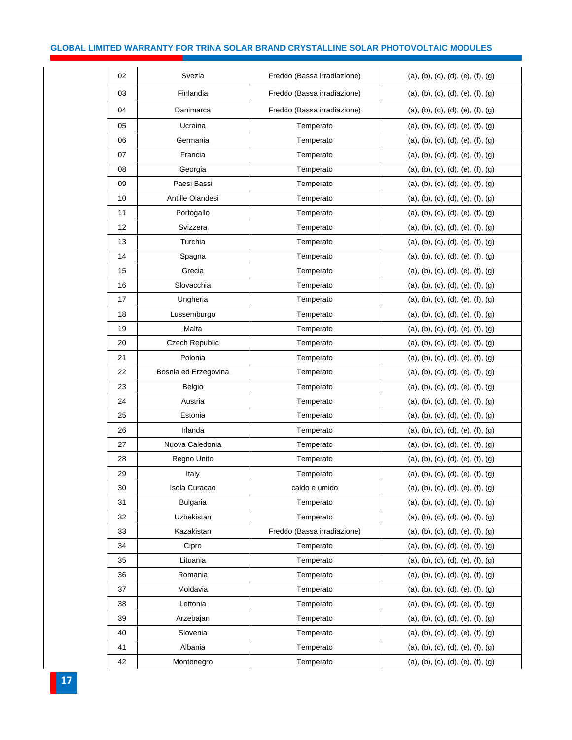# **GLOBAL LIMITED WARRANTY FOR TRINA SOLAR BRAND CRYSTALLINE SOLAR PHOTOVOLTAIC MODULES**

| 02 | Svezia               | Freddo (Bassa irradiazione) | (a), (b), (c), (d), (e), (f), (g) |
|----|----------------------|-----------------------------|-----------------------------------|
| 03 | Finlandia            | Freddo (Bassa irradiazione) | (a), (b), (c), (d), (e), (f), (g) |
| 04 | Danimarca            | Freddo (Bassa irradiazione) | (a), (b), (c), (d), (e), (f), (g) |
| 05 | Ucraina              | Temperato                   | (a), (b), (c), (d), (e), (f), (g) |
| 06 | Germania             | Temperato                   | (a), (b), (c), (d), (e), (f), (g) |
| 07 | Francia              | Temperato                   | (a), (b), (c), (d), (e), (f), (g) |
| 08 | Georgia              | Temperato                   | (a), (b), (c), (d), (e), (f), (g) |
| 09 | Paesi Bassi          | Temperato                   | (a), (b), (c), (d), (e), (f), (g) |
| 10 | Antille Olandesi     | Temperato                   | (a), (b), (c), (d), (e), (f), (g) |
| 11 | Portogallo           | Temperato                   | (a), (b), (c), (d), (e), (f), (g) |
| 12 | Svizzera             | Temperato                   | (a), (b), (c), (d), (e), (f), (g) |
| 13 | Turchia              | Temperato                   | (a), (b), (c), (d), (e), (f), (g) |
| 14 | Spagna               | Temperato                   | (a), (b), (c), (d), (e), (f), (g) |
| 15 | Grecia               | Temperato                   | (a), (b), (c), (d), (e), (f), (g) |
| 16 | Slovacchia           | Temperato                   | (a), (b), (c), (d), (e), (f), (g) |
| 17 | Ungheria             | Temperato                   | (a), (b), (c), (d), (e), (f), (g) |
| 18 | Lussemburgo          | Temperato                   | (a), (b), (c), (d), (e), (f), (g) |
| 19 | Malta                | Temperato                   | (a), (b), (c), (d), (e), (f), (g) |
| 20 | Czech Republic       | Temperato                   | (a), (b), (c), (d), (e), (f), (g) |
| 21 | Polonia              | Temperato                   | (a), (b), (c), (d), (e), (f), (g) |
| 22 | Bosnia ed Erzegovina | Temperato                   | (a), (b), (c), (d), (e), (f), (g) |
|    | Belgio               | Temperato                   | (a), (b), (c), (d), (e), (f), (g) |
| 23 |                      |                             |                                   |
| 24 | Austria              | Temperato                   | (a), (b), (c), (d), (e), (f), (g) |
| 25 | Estonia              | Temperato                   | (a), (b), (c), (d), (e), (f), (g) |
| 26 | Irlanda              | Temperato                   | (a), (b), (c), (d), (e), (f), (g) |
| 27 | Nuova Caledonia      | Temperato                   | (a), (b), (c), (d), (e), (f), (g) |
| 28 | Regno Unito          | Temperato                   | (a), (b), (c), (d), (e), (f), (g) |
| 29 | Italy                | Temperato                   | (a), (b), (c), (d), (e), (f), (g) |
| 30 | Isola Curacao        | caldo e umido               | (a), (b), (c), (d), (e), (f), (g) |
| 31 | <b>Bulgaria</b>      | Temperato                   | (a), (b), (c), (d), (e), (f), (g) |
| 32 | Uzbekistan           | Temperato                   | (a), (b), (c), (d), (e), (f), (g) |
| 33 | Kazakistan           | Freddo (Bassa irradiazione) | (a), (b), (c), (d), (e), (f), (g) |
| 34 | Cipro                | Temperato                   | (a), (b), (c), (d), (e), (f), (g) |
| 35 | Lituania             | Temperato                   | (a), (b), (c), (d), (e), (f), (g) |
| 36 | Romania              | Temperato                   | (a), (b), (c), (d), (e), (f), (g) |
| 37 | Moldavia             | Temperato                   | (a), (b), (c), (d), (e), (f), (g) |
| 38 | Lettonia             | Temperato                   | (a), (b), (c), (d), (e), (f), (g) |
| 39 | Arzebajan            | Temperato                   | (a), (b), (c), (d), (e), (f), (g) |
| 40 | Slovenia             | Temperato                   | (a), (b), (c), (d), (e), (f), (g) |
| 41 | Albania              | Temperato                   | (a), (b), (c), (d), (e), (f), (g) |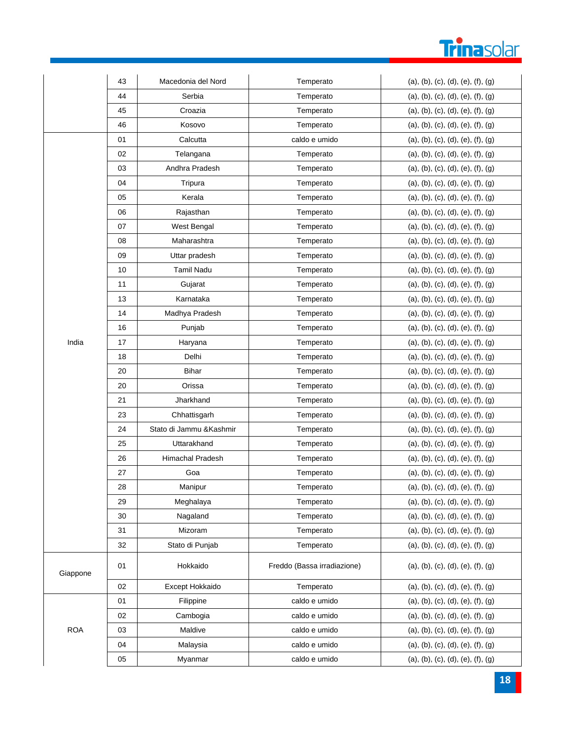# **Trinasolar**

|            | 43 | Macedonia del Nord       | Temperato                   | (a), (b), (c), (d), (e), (f), (g) |
|------------|----|--------------------------|-----------------------------|-----------------------------------|
|            | 44 | Serbia                   | Temperato                   | (a), (b), (c), (d), (e), (f), (g) |
|            | 45 | Croazia                  | Temperato                   | (a), (b), (c), (d), (e), (f), (g) |
|            | 46 | Kosovo                   | Temperato                   | (a), (b), (c), (d), (e), (f), (g) |
|            | 01 | Calcutta                 | caldo e umido               | (a), (b), (c), (d), (e), (f), (g) |
|            | 02 | Telangana                | Temperato                   | (a), (b), (c), (d), (e), (f), (g) |
|            | 03 | Andhra Pradesh           | Temperato                   | (a), (b), (c), (d), (e), (f), (g) |
|            | 04 | Tripura                  | Temperato                   | (a), (b), (c), (d), (e), (f), (g) |
|            | 05 | Kerala                   | Temperato                   | (a), (b), (c), (d), (e), (f), (g) |
|            | 06 | Rajasthan                | Temperato                   | (a), (b), (c), (d), (e), (f), (g) |
|            | 07 | West Bengal              | Temperato                   | (a), (b), (c), (d), (e), (f), (g) |
|            | 08 | Maharashtra              | Temperato                   | (a), (b), (c), (d), (e), (f), (g) |
|            | 09 | Uttar pradesh            | Temperato                   | (a), (b), (c), (d), (e), (f), (g) |
|            | 10 | <b>Tamil Nadu</b>        | Temperato                   | (a), (b), (c), (d), (e), (f), (g) |
|            | 11 | Gujarat                  | Temperato                   | (a), (b), (c), (d), (e), (f), (g) |
|            | 13 | Karnataka                | Temperato                   | (a), (b), (c), (d), (e), (f), (g) |
|            | 14 | Madhya Pradesh           | Temperato                   | (a), (b), (c), (d), (e), (f), (g) |
|            | 16 | Punjab                   | Temperato                   | (a), (b), (c), (d), (e), (f), (g) |
| India      | 17 | Haryana                  | Temperato                   | (a), (b), (c), (d), (e), (f), (g) |
|            | 18 | Delhi                    | Temperato                   | (a), (b), (c), (d), (e), (f), (g) |
|            | 20 | <b>Bihar</b>             | Temperato                   | (a), (b), (c), (d), (e), (f), (g) |
|            | 20 | Orissa                   | Temperato                   | (a), (b), (c), (d), (e), (f), (g) |
|            | 21 | Jharkhand                | Temperato                   | (a), (b), (c), (d), (e), (f), (g) |
|            | 23 | Chhattisgarh             | Temperato                   | (a), (b), (c), (d), (e), (f), (g) |
|            | 24 | Stato di Jammu & Kashmir | Temperato                   | (a), (b), (c), (d), (e), (f), (g) |
|            | 25 | Uttarakhand              | Temperato                   | (a), (b), (c), (d), (e), (f), (g) |
|            | 26 | Himachal Pradesh         | Temperato                   | (a), (b), (c), (d), (e), (f), (g) |
|            | 27 | Goa                      | Temperato                   | (a), (b), (c), (d), (e), (f), (g) |
|            | 28 | Manipur                  | Temperato                   | (a), (b), (c), (d), (e), (f), (g) |
|            | 29 | Meghalaya                | Temperato                   | (a), (b), (c), (d), (e), (f), (g) |
|            | 30 | Nagaland                 | Temperato                   | (a), (b), (c), (d), (e), (f), (g) |
|            | 31 | Mizoram                  | Temperato                   | (a), (b), (c), (d), (e), (f), (g) |
|            | 32 | Stato di Punjab          | Temperato                   | (a), (b), (c), (d), (e), (f), (g) |
| Giappone   | 01 | Hokkaido                 | Freddo (Bassa irradiazione) | (a), (b), (c), (d), (e), (f), (g) |
|            | 02 | Except Hokkaido          | Temperato                   | (a), (b), (c), (d), (e), (f), (g) |
|            | 01 | Filippine                | caldo e umido               | (a), (b), (c), (d), (e), (f), (g) |
|            | 02 | Cambogia                 | caldo e umido               | (a), (b), (c), (d), (e), (f), (g) |
| <b>ROA</b> | 03 | Maldive                  | caldo e umido               | (a), (b), (c), (d), (e), (f), (g) |
|            | 04 | Malaysia                 | caldo e umido               | (a), (b), (c), (d), (e), (f), (g) |
|            | 05 | Myanmar                  | caldo e umido               | (a), (b), (c), (d), (e), (f), (g) |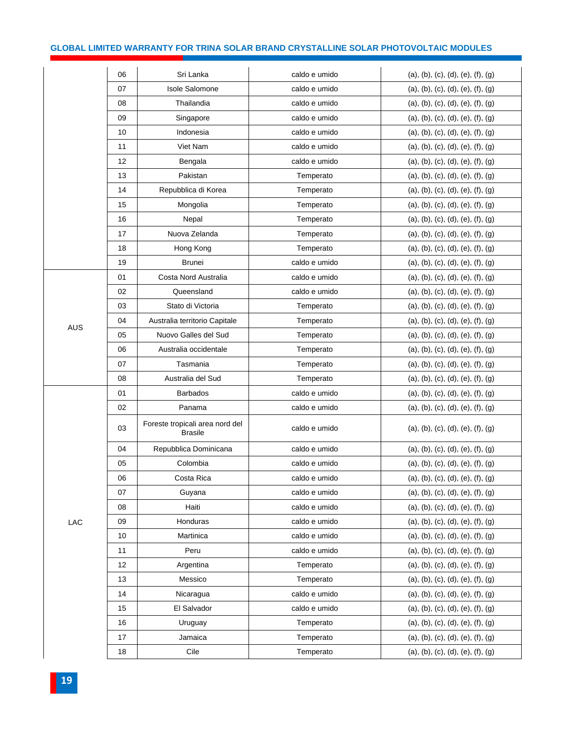# **GLOBAL LIMITED WARRANTY FOR TRINA SOLAR BRAND CRYSTALLINE SOLAR PHOTOVOLTAIC MODULES**

|            | 06 | Sri Lanka                                         | caldo e umido | (a), (b), (c), (d), (e), (f), (g) |
|------------|----|---------------------------------------------------|---------------|-----------------------------------|
|            | 07 | <b>Isole Salomone</b>                             | caldo e umido | (a), (b), (c), (d), (e), (f), (g) |
|            | 08 | Thailandia                                        | caldo e umido | (a), (b), (c), (d), (e), (f), (g) |
|            | 09 | Singapore                                         | caldo e umido | (a), (b), (c), (d), (e), (f), (g) |
|            | 10 | Indonesia                                         | caldo e umido | (a), (b), (c), (d), (e), (f), (g) |
|            | 11 | Viet Nam                                          | caldo e umido | (a), (b), (c), (d), (e), (f), (g) |
|            | 12 | Bengala                                           | caldo e umido | (a), (b), (c), (d), (e), (f), (g) |
|            | 13 | Pakistan                                          | Temperato     | (a), (b), (c), (d), (e), (f), (g) |
|            | 14 | Repubblica di Korea                               | Temperato     | (a), (b), (c), (d), (e), (f), (g) |
|            | 15 | Mongolia                                          | Temperato     | (a), (b), (c), (d), (e), (f), (g) |
|            | 16 | Nepal                                             | Temperato     | (a), (b), (c), (d), (e), (f), (g) |
|            | 17 | Nuova Zelanda                                     | Temperato     | (a), (b), (c), (d), (e), (f), (g) |
|            | 18 | Hong Kong                                         | Temperato     | (a), (b), (c), (d), (e), (f), (g) |
|            | 19 | Brunei                                            | caldo e umido | (a), (b), (c), (d), (e), (f), (g) |
|            | 01 | Costa Nord Australia                              | caldo e umido | (a), (b), (c), (d), (e), (f), (g) |
|            | 02 | Queensland                                        | caldo e umido | (a), (b), (c), (d), (e), (f), (g) |
|            | 03 | Stato di Victoria                                 | Temperato     | (a), (b), (c), (d), (e), (f), (g) |
|            | 04 | Australia territorio Capitale                     | Temperato     | (a), (b), (c), (d), (e), (f), (g) |
| <b>AUS</b> | 05 | Nuovo Galles del Sud                              | Temperato     | (a), (b), (c), (d), (e), (f), (g) |
|            | 06 | Australia occidentale                             | Temperato     | (a), (b), (c), (d), (e), (f), (g) |
|            | 07 | Tasmania                                          | Temperato     | (a), (b), (c), (d), (e), (f), (g) |
|            | 08 | Australia del Sud                                 | Temperato     | (a), (b), (c), (d), (e), (f), (g) |
|            | 01 | <b>Barbados</b>                                   | caldo e umido | (a), (b), (c), (d), (e), (f), (g) |
|            | 02 | Panama                                            | caldo e umido | (a), (b), (c), (d), (e), (f), (g) |
|            | 03 | Foreste tropicali area nord del<br><b>Brasile</b> | caldo e umido | (a), (b), (c), (d), (e), (f), (g) |
|            | 04 | Repubblica Dominicana                             | caldo e umido | (a), (b), (c), (d), (e), (f), (g) |
|            | 05 | Colombia                                          | caldo e umido | (a), (b), (c), (d), (e), (f), (g) |
|            | 06 | Costa Rica                                        | caldo e umido | (a), (b), (c), (d), (e), (f), (g) |
|            | 07 | Guyana                                            | caldo e umido | (a), (b), (c), (d), (e), (f), (g) |
|            | 08 | Haiti                                             | caldo e umido | (a), (b), (c), (d), (e), (f), (g) |
| LAC        | 09 | Honduras                                          | caldo e umido | (a), (b), (c), (d), (e), (f), (g) |
|            | 10 | Martinica                                         | caldo e umido | (a), (b), (c), (d), (e), (f), (g) |
|            | 11 | Peru                                              | caldo e umido | (a), (b), (c), (d), (e), (f), (g) |
|            | 12 | Argentina                                         | Temperato     | (a), (b), (c), (d), (e), (f), (g) |
|            | 13 | Messico                                           | Temperato     | (a), (b), (c), (d), (e), (f), (g) |
|            | 14 | Nicaragua                                         | caldo e umido | (a), (b), (c), (d), (e), (f), (g) |
|            | 15 | El Salvador                                       | caldo e umido | (a), (b), (c), (d), (e), (f), (g) |
|            | 16 | Uruguay                                           | Temperato     | (a), (b), (c), (d), (e), (f), (g) |
|            | 17 | Jamaica                                           | Temperato     | (a), (b), (c), (d), (e), (f), (g) |
|            | 18 | Cile                                              | Temperato     | (a), (b), (c), (d), (e), (f), (g) |
|            |    |                                                   |               |                                   |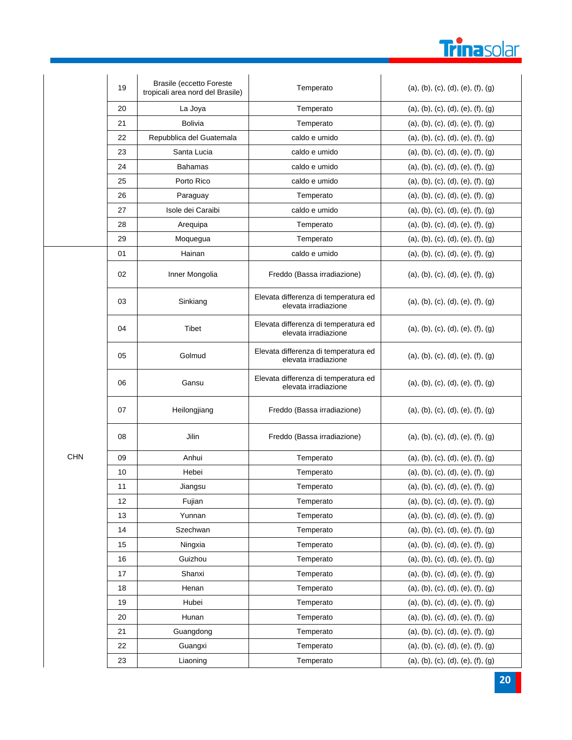

|            | 19 | <b>Brasile (eccetto Foreste</b><br>tropicali area nord del Brasile) | Temperato                                                    | (a), (b), (c), (d), (e), (f), (g) |
|------------|----|---------------------------------------------------------------------|--------------------------------------------------------------|-----------------------------------|
|            | 20 | La Joya                                                             | Temperato                                                    | (a), (b), (c), (d), (e), (f), (g) |
|            | 21 | <b>Bolivia</b>                                                      | Temperato                                                    | (a), (b), (c), (d), (e), (f), (g) |
|            | 22 | Repubblica del Guatemala                                            | caldo e umido                                                | (a), (b), (c), (d), (e), (f), (g) |
|            | 23 | Santa Lucia                                                         | caldo e umido                                                | (a), (b), (c), (d), (e), (f), (g) |
|            | 24 | Bahamas                                                             | caldo e umido                                                | (a), (b), (c), (d), (e), (f), (g) |
|            | 25 | Porto Rico                                                          | caldo e umido                                                | (a), (b), (c), (d), (e), (f), (g) |
|            | 26 | Paraguay                                                            | Temperato                                                    | (a), (b), (c), (d), (e), (f), (g) |
|            | 27 | Isole dei Caraibi                                                   | caldo e umido                                                | (a), (b), (c), (d), (e), (f), (g) |
|            | 28 | Arequipa                                                            | Temperato                                                    | (a), (b), (c), (d), (e), (f), (g) |
|            | 29 | Moquegua                                                            | Temperato                                                    | (a), (b), (c), (d), (e), (f), (g) |
|            | 01 | Hainan                                                              | caldo e umido                                                | (a), (b), (c), (d), (e), (f), (g) |
| <b>CHN</b> | 02 | Inner Mongolia                                                      | Freddo (Bassa irradiazione)                                  | (a), (b), (c), (d), (e), (f), (g) |
|            | 03 | Sinkiang                                                            | Elevata differenza di temperatura ed<br>elevata irradiazione | (a), (b), (c), (d), (e), (f), (g) |
|            | 04 | Tibet                                                               | Elevata differenza di temperatura ed<br>elevata irradiazione | (a), (b), (c), (d), (e), (f), (g) |
|            | 05 | Golmud                                                              | Elevata differenza di temperatura ed<br>elevata irradiazione | (a), (b), (c), (d), (e), (f), (g) |
|            | 06 | Gansu                                                               | Elevata differenza di temperatura ed<br>elevata irradiazione | (a), (b), (c), (d), (e), (f), (g) |
|            | 07 | Heilongjiang                                                        | Freddo (Bassa irradiazione)                                  | (a), (b), (c), (d), (e), (f), (g) |
|            | 08 | Jilin                                                               | Freddo (Bassa irradiazione)                                  | (a), (b), (c), (d), (e), (f), (g) |
|            | 09 | Anhui                                                               | Temperato                                                    | (a), (b), (c), (d), (e), (f), (g) |
|            | 10 | Hebei                                                               | Temperato                                                    | (a), (b), (c), (d), (e), (f), (g) |
|            | 11 | Jiangsu                                                             | Temperato                                                    | (a), (b), (c), (d), (e), (f), (g) |
|            | 12 | Fujian                                                              | Temperato                                                    | (a), (b), (c), (d), (e), (f), (g) |
|            | 13 | Yunnan                                                              | Temperato                                                    | (a), (b), (c), (d), (e), (f), (g) |
|            | 14 | Szechwan                                                            | Temperato                                                    | (a), (b), (c), (d), (e), (f), (g) |
|            | 15 | Ningxia                                                             | Temperato                                                    | (a), (b), (c), (d), (e), (f), (g) |
|            | 16 | Guizhou                                                             | Temperato                                                    | (a), (b), (c), (d), (e), (f), (g) |
|            | 17 | Shanxi                                                              | Temperato                                                    | (a), (b), (c), (d), (e), (f), (g) |
|            | 18 | Henan                                                               | Temperato                                                    | (a), (b), (c), (d), (e), (f), (g) |
|            | 19 | Hubei                                                               | Temperato                                                    | (a), (b), (c), (d), (e), (f), (g) |
|            | 20 | Hunan                                                               | Temperato                                                    | (a), (b), (c), (d), (e), (f), (g) |
|            | 21 | Guangdong                                                           | Temperato                                                    | (a), (b), (c), (d), (e), (f), (g) |
|            | 22 | Guangxi                                                             | Temperato                                                    | (a), (b), (c), (d), (e), (f), (g) |
|            | 23 | Liaoning                                                            | Temperato                                                    | (a), (b), (c), (d), (e), (f), (g) |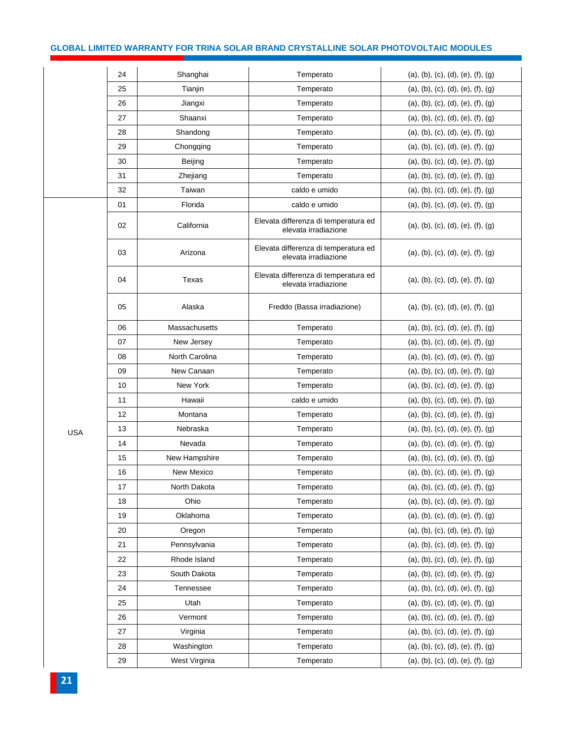# **GLOBAL LIMITED WARRANTY FOR TRINA SOLAR BRAND CRYSTALLINE SOLAR PHOTOVOLTAIC MODULES**

|            | 24 | Shanghai       | Temperato                                                    | (a), (b), (c), (d), (e), (f), (g) |
|------------|----|----------------|--------------------------------------------------------------|-----------------------------------|
|            | 25 | Tianjin        | Temperato                                                    | (a), (b), (c), (d), (e), (f), (g) |
|            | 26 | Jiangxi        | Temperato                                                    | (a), (b), (c), (d), (e), (f), (g) |
|            | 27 | Shaanxi        | Temperato                                                    | (a), (b), (c), (d), (e), (f), (g) |
|            | 28 | Shandong       | Temperato                                                    | (a), (b), (c), (d), (e), (f), (g) |
|            | 29 | Chongqing      | Temperato                                                    | (a), (b), (c), (d), (e), (f), (g) |
|            | 30 | Beijing        | Temperato                                                    | (a), (b), (c), (d), (e), (f), (g) |
|            | 31 | Zhejiang       | Temperato                                                    | (a), (b), (c), (d), (e), (f), (g) |
|            | 32 | Taiwan         | caldo e umido                                                | (a), (b), (c), (d), (e), (f), (g) |
|            | 01 | Florida        | caldo e umido                                                | (a), (b), (c), (d), (e), (f), (g) |
|            | 02 | California     | Elevata differenza di temperatura ed<br>elevata irradiazione | (a), (b), (c), (d), (e), (f), (g) |
|            | 03 | Arizona        | Elevata differenza di temperatura ed<br>elevata irradiazione | (a), (b), (c), (d), (e), (f), (g) |
|            | 04 | Texas          | Elevata differenza di temperatura ed<br>elevata irradiazione | (a), (b), (c), (d), (e), (f), (g) |
|            | 05 | Alaska         | Freddo (Bassa irradiazione)                                  | (a), (b), (c), (d), (e), (f), (g) |
|            | 06 | Massachusetts  | Temperato                                                    | (a), (b), (c), (d), (e), (f), (g) |
|            | 07 | New Jersey     | Temperato                                                    | (a), (b), (c), (d), (e), (f), (g) |
|            | 08 | North Carolina | Temperato                                                    | (a), (b), (c), (d), (e), (f), (g) |
|            | 09 | New Canaan     | Temperato                                                    | (a), (b), (c), (d), (e), (f), (g) |
|            | 10 | New York       | Temperato                                                    | (a), (b), (c), (d), (e), (f), (g) |
|            | 11 | Hawaii         | caldo e umido                                                | (a), (b), (c), (d), (e), (f), (g) |
|            | 12 | Montana        | Temperato                                                    | (a), (b), (c), (d), (e), (f), (g) |
| <b>USA</b> | 13 | Nebraska       | Temperato                                                    | (a), (b), (c), (d), (e), (f), (g) |
|            | 14 | Nevada         | Temperato                                                    | (a), (b), (c), (d), (e), (f), (g) |
|            | 15 | New Hampshire  | Temperato                                                    | (a), (b), (c), (d), (e), (f), (g) |
|            | 16 | New Mexico     | Temperato                                                    | (a), (b), (c), (d), (e), (f), (g) |
|            | 17 | North Dakota   | Temperato                                                    | (a), (b), (c), (d), (e), (f), (g) |
|            | 18 | Ohio           | Temperato                                                    | (a), (b), (c), (d), (e), (f), (g) |
|            | 19 | Oklahoma       | Temperato                                                    | (a), (b), (c), (d), (e), (f), (g) |
|            | 20 | Oregon         | Temperato                                                    | (a), (b), (c), (d), (e), (f), (g) |
|            | 21 | Pennsylvania   | Temperato                                                    | (a), (b), (c), (d), (e), (f), (g) |
|            | 22 | Rhode Island   | Temperato                                                    | (a), (b), (c), (d), (e), (f), (g) |
|            | 23 | South Dakota   | Temperato                                                    | (a), (b), (c), (d), (e), (f), (g) |
|            | 24 | Tennessee      | Temperato                                                    | (a), (b), (c), (d), (e), (f), (g) |
|            | 25 | Utah           | Temperato                                                    | (a), (b), (c), (d), (e), (f), (g) |
|            | 26 | Vermont        | Temperato                                                    | (a), (b), (c), (d), (e), (f), (g) |
|            | 27 | Virginia       | Temperato                                                    | (a), (b), (c), (d), (e), (f), (g) |
|            | 28 | Washington     | Temperato                                                    | (a), (b), (c), (d), (e), (f), (g) |
|            | 29 | West Virginia  | Temperato                                                    | (a), (b), (c), (d), (e), (f), (g) |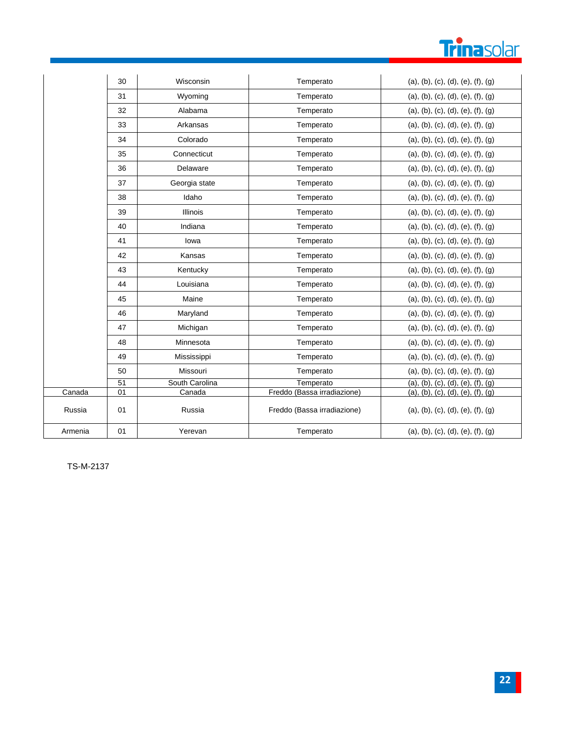

|         | 30 | Wisconsin       | Temperato                   | (a), (b), (c), (d), (e), (f), (g) |
|---------|----|-----------------|-----------------------------|-----------------------------------|
|         | 31 | Wyoming         | Temperato                   | (a), (b), (c), (d), (e), (f), (g) |
|         | 32 | Alabama         | Temperato                   | (a), (b), (c), (d), (e), (f), (g) |
|         | 33 | Arkansas        | Temperato                   | (a), (b), (c), (d), (e), (f), (g) |
|         | 34 | Colorado        | Temperato                   | (a), (b), (c), (d), (e), (f), (g) |
|         | 35 | Connecticut     | Temperato                   | (a), (b), (c), (d), (e), (f), (g) |
|         | 36 | Delaware        | Temperato                   | (a), (b), (c), (d), (e), (f), (g) |
|         | 37 | Georgia state   | Temperato                   | (a), (b), (c), (d), (e), (f), (g) |
|         | 38 | Idaho           | Temperato                   | (a), (b), (c), (d), (e), (f), (g) |
|         | 39 | <b>Illinois</b> | Temperato                   | (a), (b), (c), (d), (e), (f), (g) |
|         | 40 | Indiana         | Temperato                   | (a), (b), (c), (d), (e), (f), (g) |
|         | 41 | lowa            | Temperato                   | (a), (b), (c), (d), (e), (f), (g) |
|         | 42 | Kansas          | Temperato                   | (a), (b), (c), (d), (e), (f), (g) |
|         | 43 | Kentucky        | Temperato                   | (a), (b), (c), (d), (e), (f), (g) |
|         | 44 | Louisiana       | Temperato                   | (a), (b), (c), (d), (e), (f), (g) |
|         | 45 | Maine           | Temperato                   | (a), (b), (c), (d), (e), (f), (g) |
|         | 46 | Maryland        | Temperato                   | (a), (b), (c), (d), (e), (f), (g) |
|         | 47 | Michigan        | Temperato                   | (a), (b), (c), (d), (e), (f), (g) |
|         | 48 | Minnesota       | Temperato                   | (a), (b), (c), (d), (e), (f), (g) |
|         | 49 | Mississippi     | Temperato                   | (a), (b), (c), (d), (e), (f), (g) |
|         | 50 | Missouri        | Temperato                   | (a), (b), (c), (d), (e), (f), (g) |
|         | 51 | South Carolina  | Temperato                   | (a), (b), (c), (d), (e), (f), (g) |
| Canada  | 01 | Canada          | Freddo (Bassa irradiazione) | (a), (b), (c), (d), (e), (f), (g) |
| Russia  | 01 | Russia          | Freddo (Bassa irradiazione) | (a), (b), (c), (d), (e), (f), (g) |
| Armenia | 01 | Yerevan         | Temperato                   | (a), (b), (c), (d), (e), (f), (g) |

TS-M-2137